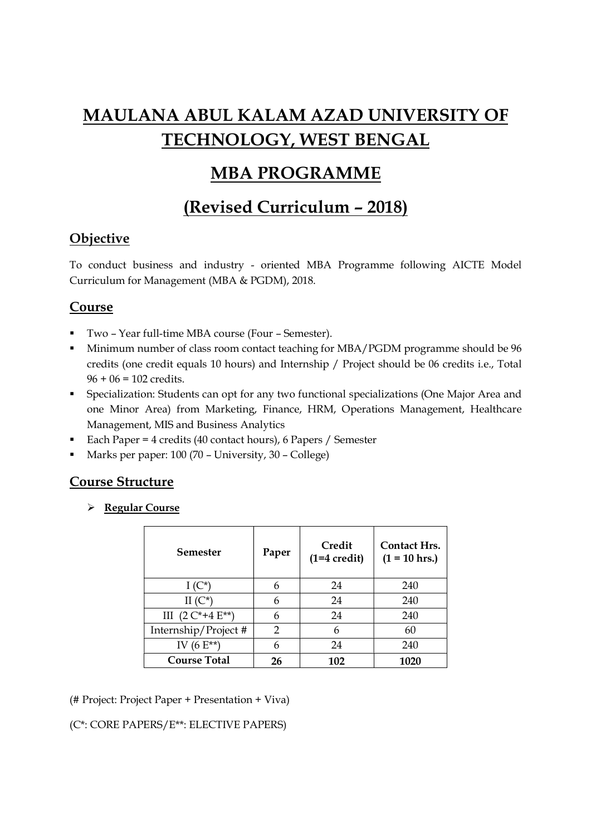# MAULANA ABUL KALAM AZAD UNIVERSITY OF TECHNOLOGY, WEST BENGAL

# MBA PROGRAMME

# (Revised Curriculum – 2018)

# **Objective**

To conduct business and industry - oriented MBA Programme following AICTE Model Curriculum for Management (MBA & PGDM), 2018.

# Course

- Two Year full-time MBA course (Four Semester).
- Minimum number of class room contact teaching for MBA/PGDM programme should be 96 credits (one credit equals 10 hours) and Internship / Project should be 06 credits i.e., Total  $96 + 06 = 102$  credits.
- Specialization: Students can opt for any two functional specializations (One Major Area and one Minor Area) from Marketing, Finance, HRM, Operations Management, Healthcare Management, MIS and Business Analytics
- Each Paper = 4 credits (40 contact hours), 6 Papers / Semester
- Marks per paper: 100 (70 University, 30 College)

# Course Structure

**►** Regular Course

| Semester                 | Paper | Credit<br>$(1=4 \text{ credit})$ | <b>Contact Hrs.</b><br>$(1 = 10$ hrs.) |
|--------------------------|-------|----------------------------------|----------------------------------------|
| $I(C^*)$                 | 6     | 24                               | 240                                    |
| II $(C^*)$               | 6     | 24                               | 240                                    |
| III $(2 C^* + 4 E^{**})$ | 6     | 24                               | 240                                    |
| Internship/Project #     | 2     | 6                                | 60                                     |
| IV $(6E^{**})$           | 6     | 24                               | 240                                    |
| <b>Course Total</b>      | 26    | 102                              | 1020                                   |

(# Project: Project Paper + Presentation + Viva)

# (C\*: CORE PAPERS/E\*\*: ELECTIVE PAPERS)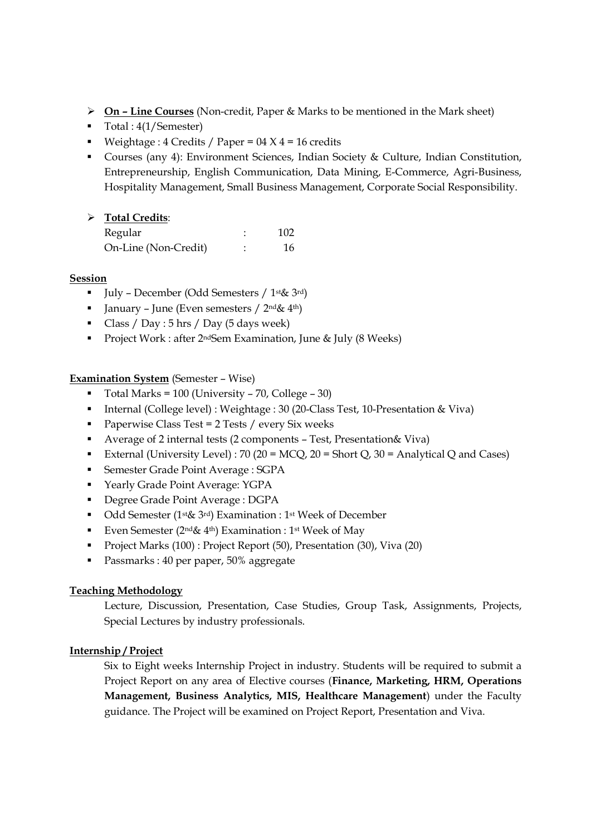- $\triangleright$  On Line Courses (Non-credit, Paper & Marks to be mentioned in the Mark sheet)
- Total : 4(1/Semester)
- Weightage : 4 Credits / Paper =  $04 \times 4 = 16$  credits
- Courses (any 4): Environment Sciences, Indian Society & Culture, Indian Constitution, Entrepreneurship, English Communication, Data Mining, E-Commerce, Agri-Business, Hospitality Management, Small Business Management, Corporate Social Responsibility.

# > Total Credits:

| Regular              | 102 |
|----------------------|-----|
| On-Line (Non-Credit) | 16  |

### Session

- $\blacksquare$  July December (Odd Semesters / 1<sup>st</sup> & 3<sup>rd</sup>)
- I January June (Even semesters /  $2<sup>nd</sup> \& 4<sup>th</sup>$ )
- Class / Day :  $5 \text{ hrs}$  / Day ( $5 \text{ days week}$ )
- Project Work : after 2<sup>nd</sup>Sem Examination, June & July (8 Weeks)

### Examination System (Semester – Wise)

- $\blacksquare$  Total Marks = 100 (University 70, College 30)
- Internal (College level) : Weightage : 30 (20-Class Test, 10-Presentation & Viva)
- Paperwise Class Test =  $2$  Tests / every Six weeks
- Average of 2 internal tests (2 components Test, Presentation& Viva)
- External (University Level) : 70 (20 = MCQ, 20 = Short Q, 30 = Analytical Q and Cases)
- Semester Grade Point Average : SGPA
- Yearly Grade Point Average: YGPA
- Degree Grade Point Average : DGPA
- Odd Semester (1<sup>st</sup>& 3<sup>rd</sup>) Examination : 1<sup>st</sup> Week of December
- Even Semester ( $2^{nd}\&4^{th}$ ) Examination : 1st Week of May
- Project Marks (100) : Project Report (50), Presentation (30), Viva (20)
- Passmarks : 40 per paper, 50% aggregate

### Teaching Methodology

Lecture, Discussion, Presentation, Case Studies, Group Task, Assignments, Projects, Special Lectures by industry professionals.

### Internship / Project

Six to Eight weeks Internship Project in industry. Students will be required to submit a Project Report on any area of Elective courses (Finance, Marketing, HRM, Operations Management, Business Analytics, MIS, Healthcare Management) under the Faculty guidance. The Project will be examined on Project Report, Presentation and Viva.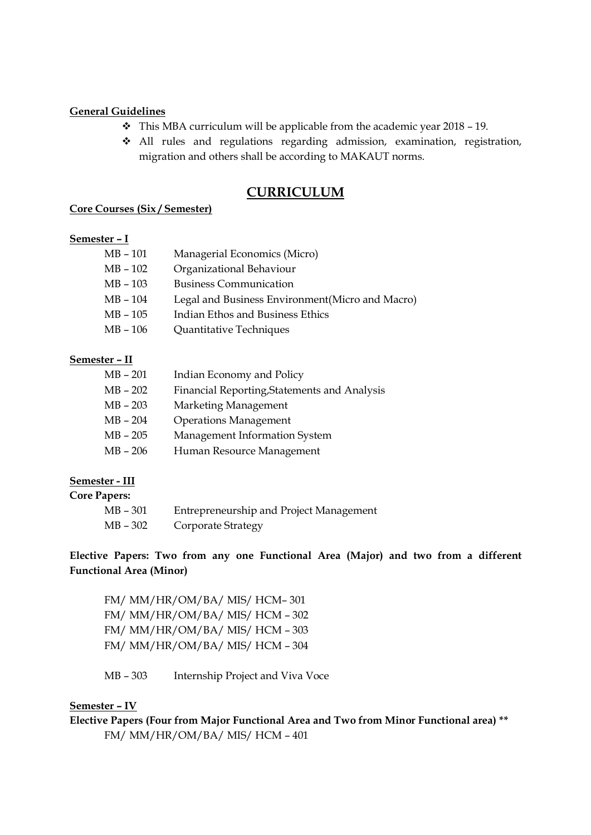#### General Guidelines

- $\div$  This MBA curriculum will be applicable from the academic year 2018 19.
- All rules and regulations regarding admission, examination, registration, migration and others shall be according to MAKAUT norms.

# CURRICULUM

#### Core Courses (Six / Semester)

#### Semester – I

| MB - 101 | Managerial Economics (Micro)                     |
|----------|--------------------------------------------------|
| MB - 102 | Organizational Behaviour                         |
| MB – 103 | <b>Business Communication</b>                    |
| MB – 104 | Legal and Business Environment (Micro and Macro) |
| MB - 105 | Indian Ethos and Business Ethics                 |
| MB - 106 | Quantitative Techniques                          |
|          |                                                  |

### Semester – II

| $MB - 201$ | Indian Economy and Policy                    |
|------------|----------------------------------------------|
| $MB - 202$ | Financial Reporting, Statements and Analysis |
| $MB - 203$ | Marketing Management                         |
| $MB - 204$ | <b>Operations Management</b>                 |
| $MB - 205$ | Management Information System                |
| $MB - 206$ | Human Resource Management                    |
|            |                                              |

### Semester - III

| <b>Core Papers:</b> |                                         |
|---------------------|-----------------------------------------|
| MB - 301            | Entrepreneurship and Project Management |
| MB – 302            | Corporate Strategy                      |

Elective Papers: Two from any one Functional Area (Major) and two from a different Functional Area (Minor)

FM/ MM/HR/OM/BA/ MIS/ HCM– 301 FM/ MM/HR/OM/BA/ MIS/ HCM – 302 FM/ MM/HR/OM/BA/ MIS/ HCM – 303 FM/ MM/HR/OM/BA/ MIS/ HCM – 304

MB – 303 Internship Project and Viva Voce

### Semester – IV

Elective Papers (Four from Major Functional Area and Two from Minor Functional area) \*\* FM/ MM/HR/OM/BA/ MIS/ HCM – 401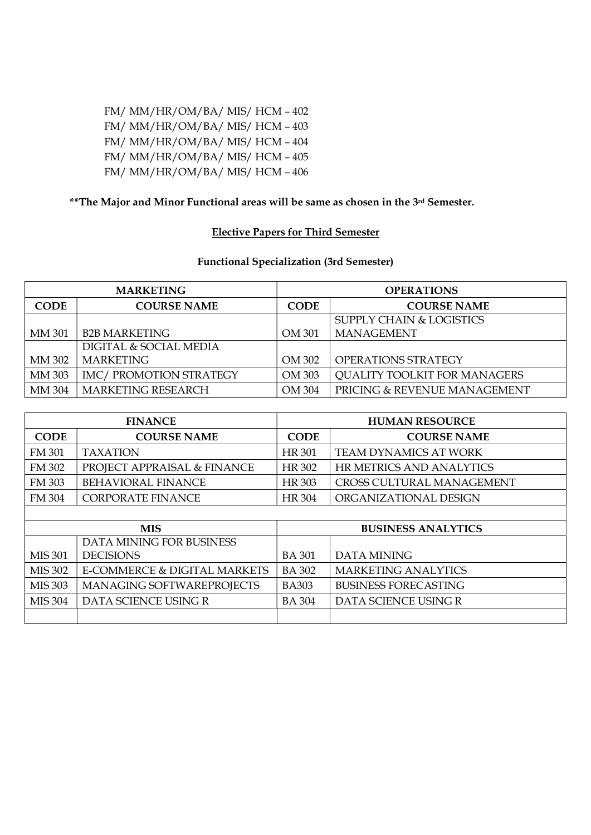FM/ MM/HR/OM/BA/ MIS/ HCM – 402 FM/ MM/HR/OM/BA/ MIS/ HCM – 403 FM/ MM/HR/OM/BA/ MIS/ HCM – 404 FM/ MM/HR/OM/BA/ MIS/ HCM – 405 FM/ MM/HR/OM/BA/ MIS/ HCM – 406

# \*\*The Major and Minor Functional areas will be same as chosen in the 3<sup>rd</sup> Semester.

#### Elective Papers for Third Semester

# Functional Specialization (3rd Semester)

| <b>MARKETING</b> |                           | <b>OPERATIONS</b> |                                     |  |
|------------------|---------------------------|-------------------|-------------------------------------|--|
| <b>CODE</b>      | <b>COURSE NAME</b>        | <b>CODE</b>       | <b>COURSE NAME</b>                  |  |
|                  |                           |                   | <b>SUPPLY CHAIN &amp; LOGISTICS</b> |  |
| MM 301           | <b>B2B MARKETING</b>      | OM 301            | <b>MANAGEMENT</b>                   |  |
|                  | DIGITAL & SOCIAL MEDIA    |                   |                                     |  |
| <b>MM 302</b>    | <b>MARKETING</b>          | OM 302            | <b>OPERATIONS STRATEGY</b>          |  |
| MM 303           | IMC/ PROMOTION STRATEGY   | OM 303            | <b>QUALITY TOOLKIT FOR MANAGERS</b> |  |
| MM 304           | <b>MARKETING RESEARCH</b> | OM 304            | PRICING & REVENUE MANAGEMENT        |  |

| <b>FINANCE</b> |                              | <b>HUMAN RESOURCE</b> |                                  |
|----------------|------------------------------|-----------------------|----------------------------------|
| <b>CODE</b>    | <b>COURSE NAME</b>           | <b>CODE</b>           | <b>COURSE NAME</b>               |
| <b>FM 301</b>  | <b>TAXATION</b>              | <b>HR 301</b>         | <b>TEAM DYNAMICS AT WORK</b>     |
| <b>FM 302</b>  | PROJECT APPRAISAL & FINANCE  | HR 302                | HR METRICS AND ANALYTICS         |
| <b>FM 303</b>  | <b>BEHAVIORAL FINANCE</b>    | <b>HR 303</b>         | <b>CROSS CULTURAL MANAGEMENT</b> |
| <b>FM 304</b>  | <b>CORPORATE FINANCE</b>     | <b>HR 304</b>         | ORGANIZATIONAL DESIGN            |
|                |                              |                       |                                  |
| <b>MIS</b>     |                              |                       |                                  |
|                |                              |                       | <b>BUSINESS ANALYTICS</b>        |
|                | DATA MINING FOR BUSINESS     |                       |                                  |
| <b>MIS 301</b> | <b>DECISIONS</b>             | <b>BA 301</b>         | <b>DATA MINING</b>               |
| <b>MIS 302</b> | E-COMMERCE & DIGITAL MARKETS | <b>BA 302</b>         | <b>MARKETING ANALYTICS</b>       |
| <b>MIS 303</b> | MANAGING SOFTWAREPROJECTS    | <b>BA303</b>          | <b>BUSINESS FORECASTING</b>      |
| <b>MIS 304</b> | DATA SCIENCE USING R         | <b>BA 304</b>         | DATA SCIENCE USING R             |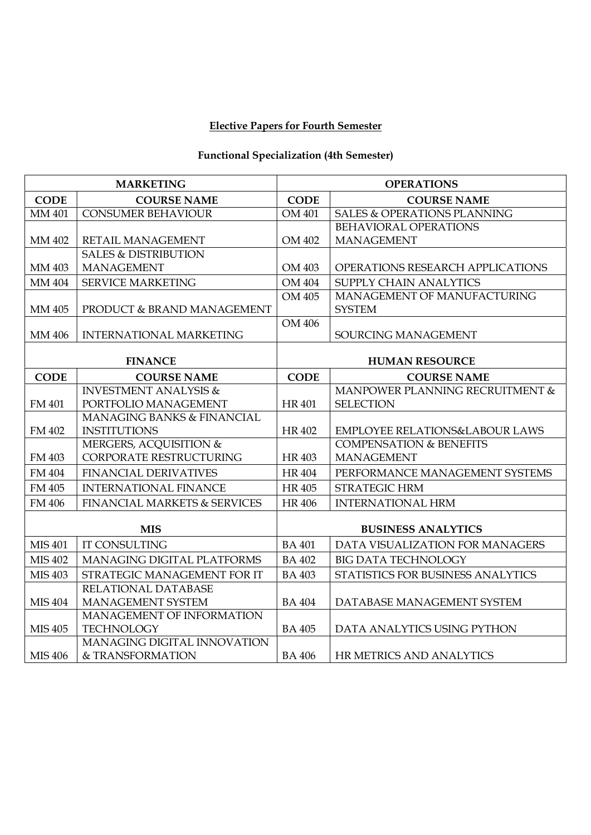# Elective Papers for Fourth Semester

# Functional Specialization (4th Semester)

| <b>MARKETING</b> |                                                  | <b>OPERATIONS</b> |                                           |  |
|------------------|--------------------------------------------------|-------------------|-------------------------------------------|--|
| <b>CODE</b>      | <b>COURSE NAME</b>                               | <b>CODE</b>       | <b>COURSE NAME</b>                        |  |
| MM 401           | <b>CONSUMER BEHAVIOUR</b>                        | OM 401            | <b>SALES &amp; OPERATIONS PLANNING</b>    |  |
|                  |                                                  |                   | BEHAVIORAL OPERATIONS                     |  |
| MM 402           | RETAIL MANAGEMENT                                | OM 402            | <b>MANAGEMENT</b>                         |  |
|                  | <b>SALES &amp; DISTRIBUTION</b>                  |                   |                                           |  |
| MM 403           | <b>MANAGEMENT</b>                                | OM 403            | OPERATIONS RESEARCH APPLICATIONS          |  |
| <b>MM 404</b>    | <b>SERVICE MARKETING</b>                         | <b>OM 404</b>     | SUPPLY CHAIN ANALYTICS                    |  |
|                  |                                                  | OM 405            | MANAGEMENT OF MANUFACTURING               |  |
| MM 405           | PRODUCT & BRAND MANAGEMENT                       |                   | <b>SYSTEM</b>                             |  |
|                  |                                                  | OM 406            |                                           |  |
| MM 406           | <b>INTERNATIONAL MARKETING</b>                   |                   | SOURCING MANAGEMENT                       |  |
| <b>FINANCE</b>   |                                                  |                   | <b>HUMAN RESOURCE</b>                     |  |
| <b>CODE</b>      | <b>COURSE NAME</b>                               | <b>CODE</b>       | <b>COURSE NAME</b>                        |  |
|                  | <b>INVESTMENT ANALYSIS &amp;</b>                 |                   | MANPOWER PLANNING RECRUITMENT &           |  |
| <b>FM 401</b>    | PORTFOLIO MANAGEMENT                             | <b>HR401</b>      | <b>SELECTION</b>                          |  |
|                  | MANAGING BANKS & FINANCIAL                       |                   |                                           |  |
| FM 402           | <b>INSTITUTIONS</b>                              | <b>HR402</b>      | <b>EMPLOYEE RELATIONS&amp;LABOUR LAWS</b> |  |
|                  | MERGERS, ACQUISITION &                           |                   | <b>COMPENSATION &amp; BENEFITS</b>        |  |
| FM 403           | CORPORATE RESTRUCTURING                          | <b>HR403</b>      | <b>MANAGEMENT</b>                         |  |
| FM 404           | <b>FINANCIAL DERIVATIVES</b>                     | <b>HR404</b>      | PERFORMANCE MANAGEMENT SYSTEMS            |  |
| <b>FM 405</b>    | <b>INTERNATIONAL FINANCE</b>                     | <b>HR 405</b>     | <b>STRATEGIC HRM</b>                      |  |
| FM 406           | <b>FINANCIAL MARKETS &amp; SERVICES</b>          | <b>HR 406</b>     | <b>INTERNATIONAL HRM</b>                  |  |
|                  |                                                  |                   | <b>BUSINESS ANALYTICS</b>                 |  |
| <b>MIS 401</b>   | <b>MIS</b><br><b>IT CONSULTING</b>               | <b>BA 401</b>     | DATA VISUALIZATION FOR MANAGERS           |  |
|                  |                                                  |                   |                                           |  |
| <b>MIS 402</b>   | <b>MANAGING DIGITAL PLATFORMS</b>                | <b>BA 402</b>     | <b>BIG DATA TECHNOLOGY</b>                |  |
| <b>MIS 403</b>   | STRATEGIC MANAGEMENT FOR IT                      | <b>BA 403</b>     | STATISTICS FOR BUSINESS ANALYTICS         |  |
|                  | RELATIONAL DATABASE                              |                   |                                           |  |
| <b>MIS 404</b>   | MANAGEMENT SYSTEM                                | <b>BA 404</b>     | DATABASE MANAGEMENT SYSTEM                |  |
|                  | MANAGEMENT OF INFORMATION                        |                   |                                           |  |
| <b>MIS 405</b>   | <b>TECHNOLOGY</b><br>MANAGING DIGITAL INNOVATION | <b>BA 405</b>     | DATA ANALYTICS USING PYTHON               |  |
| <b>MIS 406</b>   | & TRANSFORMATION                                 | <b>BA 406</b>     | HR METRICS AND ANALYTICS                  |  |
|                  |                                                  |                   |                                           |  |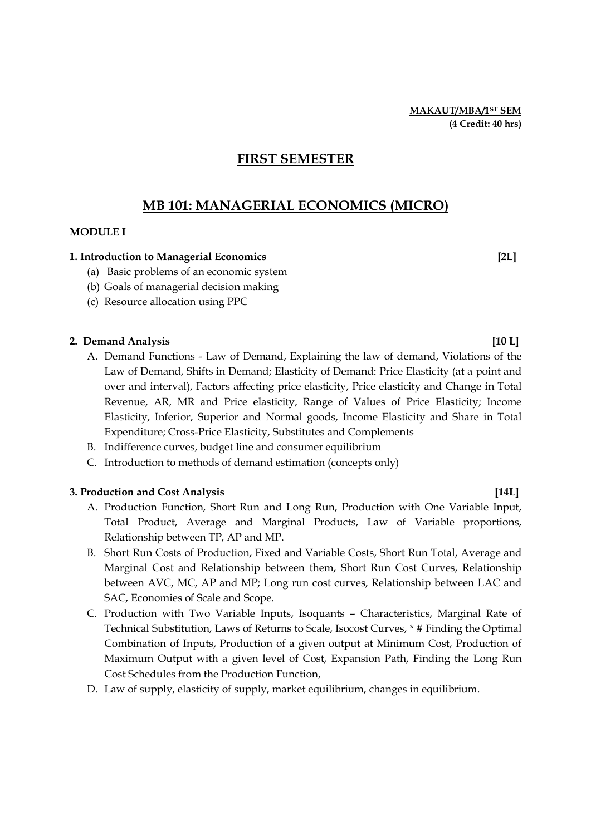# FIRST SEMESTER

# MB 101: MANAGERIAL ECONOMICS (MICRO)

#### MODULE I

#### 1. Introduction to Managerial Economics [2L]

- (a) Basic problems of an economic system
- (b) Goals of managerial decision making
- (c) Resource allocation using PPC

### 2. Demand Analysis [10 L]

- A. Demand Functions Law of Demand, Explaining the law of demand, Violations of the Law of Demand, Shifts in Demand; Elasticity of Demand: Price Elasticity (at a point and over and interval), Factors affecting price elasticity, Price elasticity and Change in Total Revenue, AR, MR and Price elasticity, Range of Values of Price Elasticity; Income Elasticity, Inferior, Superior and Normal goods, Income Elasticity and Share in Total Expenditure; Cross-Price Elasticity, Substitutes and Complements
- B. Indifference curves, budget line and consumer equilibrium
- C. Introduction to methods of demand estimation (concepts only)

#### 3. Production and Cost Analysis [14L] [14L]

- A. Production Function, Short Run and Long Run, Production with One Variable Input, Total Product, Average and Marginal Products, Law of Variable proportions, Relationship between TP, AP and MP.
- B. Short Run Costs of Production, Fixed and Variable Costs, Short Run Total, Average and Marginal Cost and Relationship between them, Short Run Cost Curves, Relationship between AVC, MC, AP and MP; Long run cost curves, Relationship between LAC and SAC, Economies of Scale and Scope.
- C. Production with Two Variable Inputs, Isoquants Characteristics, Marginal Rate of Technical Substitution, Laws of Returns to Scale, Isocost Curves, \* # Finding the Optimal Combination of Inputs, Production of a given output at Minimum Cost, Production of Maximum Output with a given level of Cost, Expansion Path, Finding the Long Run Cost Schedules from the Production Function,
- D. Law of supply, elasticity of supply, market equilibrium, changes in equilibrium.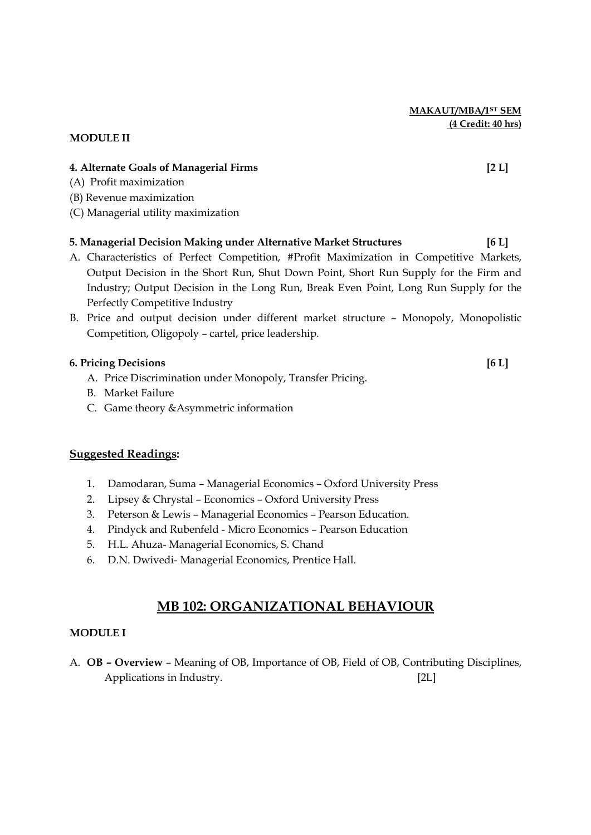MAKAUT/MBA/1ST SEM (4 Credit: 40 hrs)

#### MODULE II

#### 4. Alternate Goals of Managerial Firms [2 L]

- (A) Profit maximization
- (B) Revenue maximization
- (C) Managerial utility maximization

#### 5. Managerial Decision Making under Alternative Market Structures [6 L]

- A. Characteristics of Perfect Competition, #Profit Maximization in Competitive Markets, Output Decision in the Short Run, Shut Down Point, Short Run Supply for the Firm and Industry; Output Decision in the Long Run, Break Even Point, Long Run Supply for the Perfectly Competitive Industry
- B. Price and output decision under different market structure Monopoly, Monopolistic Competition, Oligopoly – cartel, price leadership.

#### 6. Pricing Decisions [6 L]

- A. Price Discrimination under Monopoly, Transfer Pricing.
- B. Market Failure
- C. Game theory &Asymmetric information

#### Suggested Readings:

- 1. Damodaran, Suma Managerial Economics Oxford University Press
- 2. Lipsey & Chrystal Economics Oxford University Press
- 3. Peterson & Lewis Managerial Economics Pearson Education.
- 4. Pindyck and Rubenfeld Micro Economics Pearson Education
- 5. H.L. Ahuza- Managerial Economics, S. Chand
- 6. D.N. Dwivedi- Managerial Economics, Prentice Hall.

# MB 102: ORGANIZATIONAL BEHAVIOUR

#### MODULE I

A. OB – Overview – Meaning of OB, Importance of OB, Field of OB, Contributing Disciplines, Applications in Industry. [2L]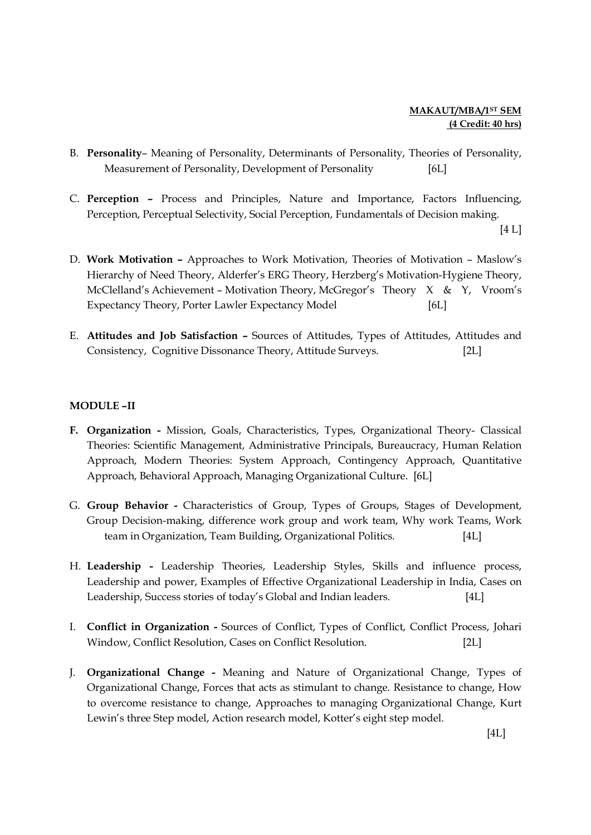- B. Personality– Meaning of Personality, Determinants of Personality, Theories of Personality, Measurement of Personality, Development of Personality [6L]
- C. Perception Process and Principles, Nature and Importance, Factors Influencing, Perception, Perceptual Selectivity, Social Perception, Fundamentals of Decision making.

 $[4 L]$ 

- D. Work Motivation Approaches to Work Motivation, Theories of Motivation Maslow's Hierarchy of Need Theory, Alderfer's ERG Theory, Herzberg's Motivation-Hygiene Theory, McClelland's Achievement – Motivation Theory, McGregor's Theory X & Y, Vroom's Expectancy Theory, Porter Lawler Expectancy Model [6L]
- E. Attitudes and Job Satisfaction Sources of Attitudes, Types of Attitudes, Attitudes and Consistency, Cognitive Dissonance Theory, Attitude Surveys. [2L]

### MODULE –II

- F. Organization Mission, Goals, Characteristics, Types, Organizational Theory- Classical Theories: Scientific Management, Administrative Principals, Bureaucracy, Human Relation Approach, Modern Theories: System Approach, Contingency Approach, Quantitative Approach, Behavioral Approach, Managing Organizational Culture. [6L]
- G. Group Behavior Characteristics of Group, Types of Groups, Stages of Development, Group Decision-making, difference work group and work team, Why work Teams, Work team in Organization, Team Building, Organizational Politics. [4L]
- H. Leadership Leadership Theories, Leadership Styles, Skills and influence process, Leadership and power, Examples of Effective Organizational Leadership in India, Cases on Leadership, Success stories of today's Global and Indian leaders. [4L]
- I. Conflict in Organization Sources of Conflict, Types of Conflict, Conflict Process, Johari Window, Conflict Resolution, Cases on Conflict Resolution. [2L]
- J. Organizational Change Meaning and Nature of Organizational Change, Types of Organizational Change, Forces that acts as stimulant to change. Resistance to change, How to overcome resistance to change, Approaches to managing Organizational Change, Kurt Lewin's three Step model, Action research model, Kotter's eight step model.

 $[4L]$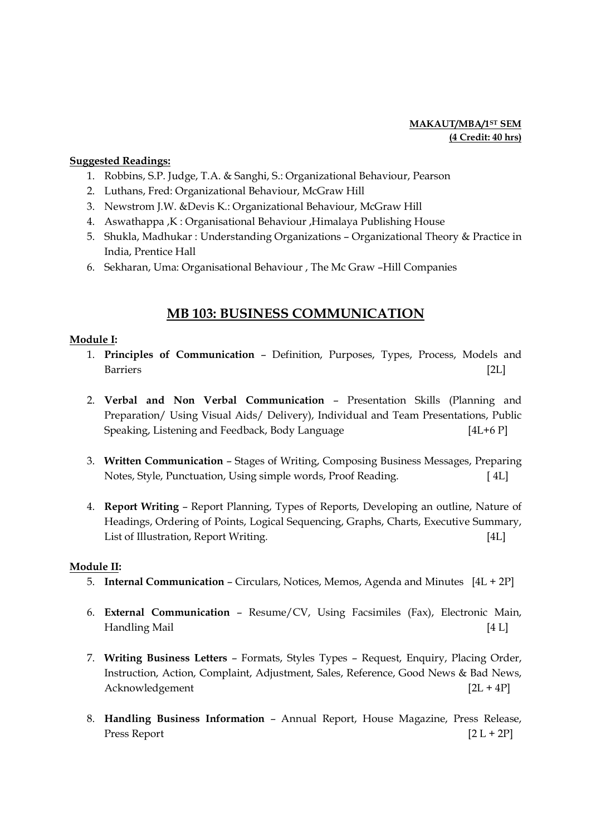#### MAKAUT/MBA/1ST SEM (4 Credit: 40 hrs)

#### Suggested Readings:

- 1. Robbins, S.P. Judge, T.A. & Sanghi, S.: Organizational Behaviour, Pearson
- 2. Luthans, Fred: Organizational Behaviour, McGraw Hill
- 3. Newstrom J.W. &Devis K.: Organizational Behaviour, McGraw Hill
- 4. Aswathappa ,K : Organisational Behaviour ,Himalaya Publishing House
- 5. Shukla, Madhukar : Understanding Organizations Organizational Theory & Practice in India, Prentice Hall
- 6. Sekharan, Uma: Organisational Behaviour , The Mc Graw –Hill Companies

# MB 103: BUSINESS COMMUNICATION

### Module I:

- 1. Principles of Communication Definition, Purposes, Types, Process, Models and Barriers [2L]
- 2. Verbal and Non Verbal Communication Presentation Skills (Planning and Preparation/ Using Visual Aids/ Delivery), Individual and Team Presentations, Public Speaking, Listening and Feedback, Body Language [4L+6 P]
- 3. Written Communication Stages of Writing, Composing Business Messages, Preparing Notes, Style, Punctuation, Using simple words, Proof Reading. [ 4L]
- 4. Report Writing Report Planning, Types of Reports, Developing an outline, Nature of Headings, Ordering of Points, Logical Sequencing, Graphs, Charts, Executive Summary, List of Illustration, Report Writing. [4L]

### Module II:

- 5. Internal Communication Circulars, Notices, Memos, Agenda and Minutes [4L + 2P]
- 6. External Communication Resume/CV, Using Facsimiles (Fax), Electronic Main, Handling Mail [4 L]
- 7. Writing Business Letters Formats, Styles Types Request, Enquiry, Placing Order, Instruction, Action, Complaint, Adjustment, Sales, Reference, Good News & Bad News, Acknowledgement [2L + 4P]
- 8. Handling Business Information Annual Report, House Magazine, Press Release, Press Report  $[2 L + 2P]$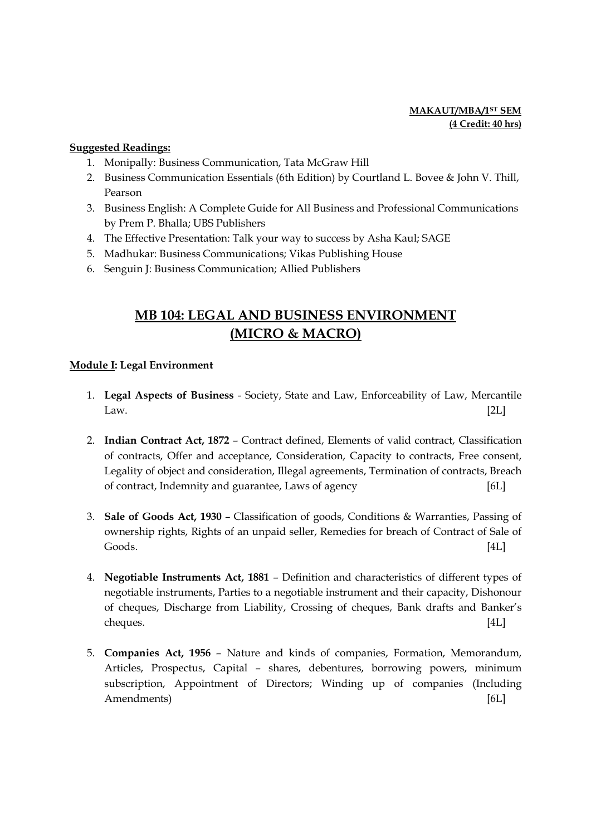### MAKAUT/MBA/1<sup>ST</sup> SEM (4 Credit: 40 hrs)

#### Suggested Readings:

- 1. Monipally: Business Communication, Tata McGraw Hill
- 2. Business Communication Essentials (6th Edition) by Courtland L. Bovee & John V. Thill, Pearson
- 3. Business English: A Complete Guide for All Business and Professional Communications by Prem P. Bhalla; UBS Publishers
- 4. The Effective Presentation: Talk your way to success by Asha Kaul; SAGE
- 5. Madhukar: Business Communications; Vikas Publishing House
- 6. Senguin J: Business Communication; Allied Publishers

# MB 104: LEGAL AND BUSINESS ENVIRONMENT (MICRO & MACRO)

### Module I: Legal Environment

- 1. Legal Aspects of Business Society, State and Law, Enforceability of Law, Mercantile Law. [2L]
- 2. Indian Contract Act, 1872 Contract defined, Elements of valid contract, Classification of contracts, Offer and acceptance, Consideration, Capacity to contracts, Free consent, Legality of object and consideration, Illegal agreements, Termination of contracts, Breach of contract, Indemnity and guarantee, Laws of agency [6L]
- 3. Sale of Goods Act, 1930 Classification of goods, Conditions & Warranties, Passing of ownership rights, Rights of an unpaid seller, Remedies for breach of Contract of Sale of Goods. [4L]
- 4. Negotiable Instruments Act, 1881 Definition and characteristics of different types of negotiable instruments, Parties to a negotiable instrument and their capacity, Dishonour of cheques, Discharge from Liability, Crossing of cheques, Bank drafts and Banker's cheques. [4L]
- 5. Companies Act, 1956 Nature and kinds of companies, Formation, Memorandum, Articles, Prospectus, Capital – shares, debentures, borrowing powers, minimum subscription, Appointment of Directors; Winding up of companies (Including Amendments) [6L]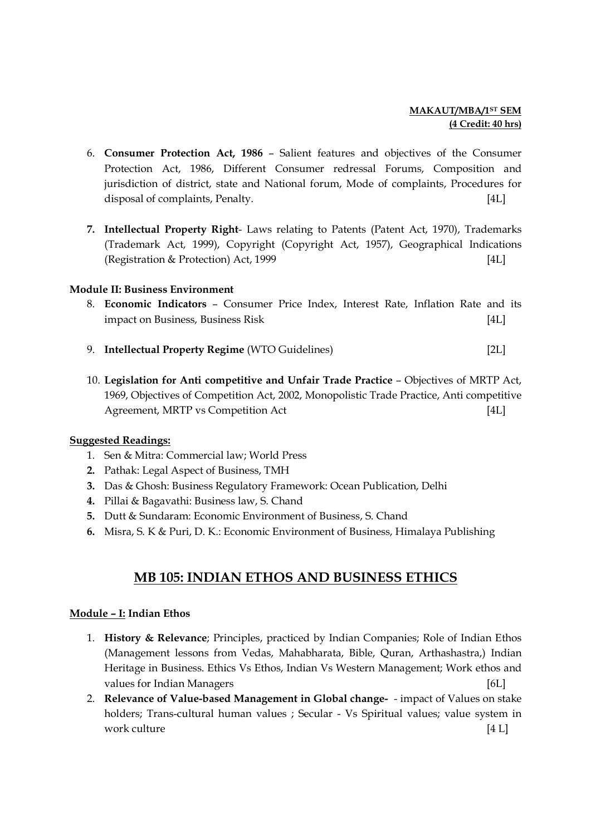### MAKAUT/MBA/1<sup>ST</sup> SEM (4 Credit: 40 hrs)

- 6. Consumer Protection Act, 1986 Salient features and objectives of the Consumer Protection Act, 1986, Different Consumer redressal Forums, Composition and jurisdiction of district, state and National forum, Mode of complaints, Procedures for disposal of complaints, Penalty. [4L]
- 7. Intellectual Property Right- Laws relating to Patents (Patent Act, 1970), Trademarks (Trademark Act, 1999), Copyright (Copyright Act, 1957), Geographical Indications (Registration & Protection) Act, 1999 [4L]

#### Module II: Business Environment

- 8. Economic Indicators Consumer Price Index, Interest Rate, Inflation Rate and its impact on Business, Business Risk [4L]
- 9. Intellectual Property Regime (WTO Guidelines) [2L]
- 10. Legislation for Anti competitive and Unfair Trade Practice Objectives of MRTP Act, 1969, Objectives of Competition Act, 2002, Monopolistic Trade Practice, Anti competitive Agreement, MRTP vs Competition Act [4L]

#### Suggested Readings:

- 1. Sen & Mitra: Commercial law; World Press
- 2. Pathak: Legal Aspect of Business, TMH
- 3. Das & Ghosh: Business Regulatory Framework: Ocean Publication, Delhi
- 4. Pillai & Bagavathi: Business law, S. Chand
- 5. Dutt & Sundaram: Economic Environment of Business, S. Chand
- 6. Misra, S. K & Puri, D. K.: Economic Environment of Business, Himalaya Publishing

# MB 105: INDIAN ETHOS AND BUSINESS ETHICS

#### Module – I: Indian Ethos

- 1. History & Relevance; Principles, practiced by Indian Companies; Role of Indian Ethos (Management lessons from Vedas, Mahabharata, Bible, Quran, Arthashastra,) Indian Heritage in Business. Ethics Vs Ethos, Indian Vs Western Management; Work ethos and values for Indian Managers [6L]
- 2. Relevance of Value-based Management in Global change- impact of Values on stake holders; Trans-cultural human values ; Secular - Vs Spiritual values; value system in work culture [4 L]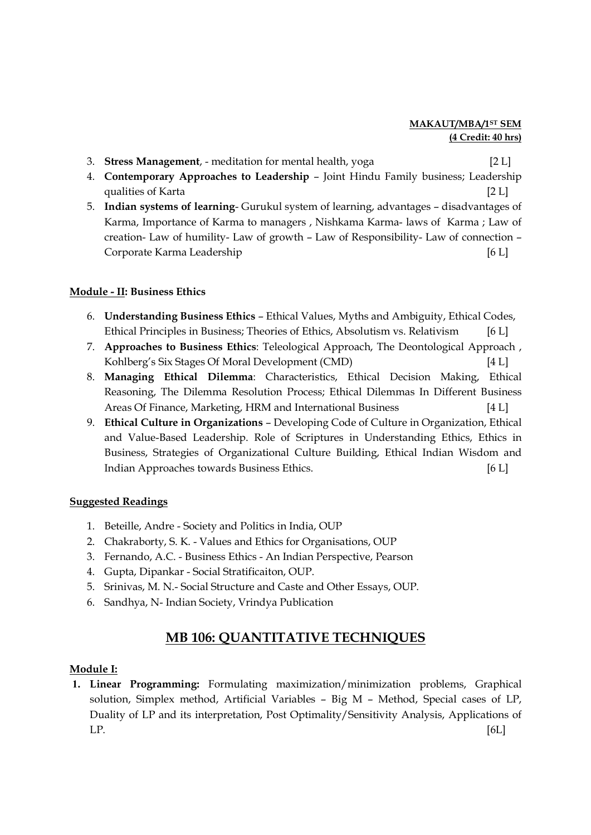### MAKAUT/MBA/1ST SEM (4 Credit: 40 hrs)

- 3. **Stress Management**, meditation for mental health, yoga [2 L]
- 4. Contemporary Approaches to Leadership Joint Hindu Family business; Leadership qualities of Karta
- 5. Indian systems of learning- Gurukul system of learning, advantages disadvantages of Karma, Importance of Karma to managers , Nishkama Karma- laws of Karma ; Law of creation- Law of humility- Law of growth – Law of Responsibility- Law of connection – Corporate Karma Leadership [6 L]

### Module - II: Business Ethics

- 6. Understanding Business Ethics Ethical Values, Myths and Ambiguity, Ethical Codes, Ethical Principles in Business; Theories of Ethics, Absolutism vs. Relativism [6 L]
- 7. Approaches to Business Ethics: Teleological Approach, The Deontological Approach , Kohlberg's Six Stages Of Moral Development (CMD) [4 L]
- 8. Managing Ethical Dilemma: Characteristics, Ethical Decision Making, Ethical Reasoning, The Dilemma Resolution Process; Ethical Dilemmas In Different Business Areas Of Finance, Marketing, HRM and International Business [4 L]
- 9. Ethical Culture in Organizations Developing Code of Culture in Organization, Ethical and Value-Based Leadership. Role of Scriptures in Understanding Ethics, Ethics in Business, Strategies of Organizational Culture Building, Ethical Indian Wisdom and Indian Approaches towards Business Ethics. [6 L]

### Suggested Readings

- 1. Beteille, Andre Society and Politics in India, OUP
- 2. Chakraborty, S. K. Values and Ethics for Organisations, OUP
- 3. Fernando, A.C. Business Ethics An Indian Perspective, Pearson
- 4. Gupta, Dipankar Social Stratificaiton, OUP.
- 5. Srinivas, M. N.- Social Structure and Caste and Other Essays, OUP.
- 6. Sandhya, N- Indian Society, Vrindya Publication

# MB 106: QUANTITATIVE TECHNIQUES

### Module I:

1. Linear Programming: Formulating maximization/minimization problems, Graphical solution, Simplex method, Artificial Variables – Big M – Method, Special cases of LP, Duality of LP and its interpretation, Post Optimality/Sensitivity Analysis, Applications of  $LP.$  [6L]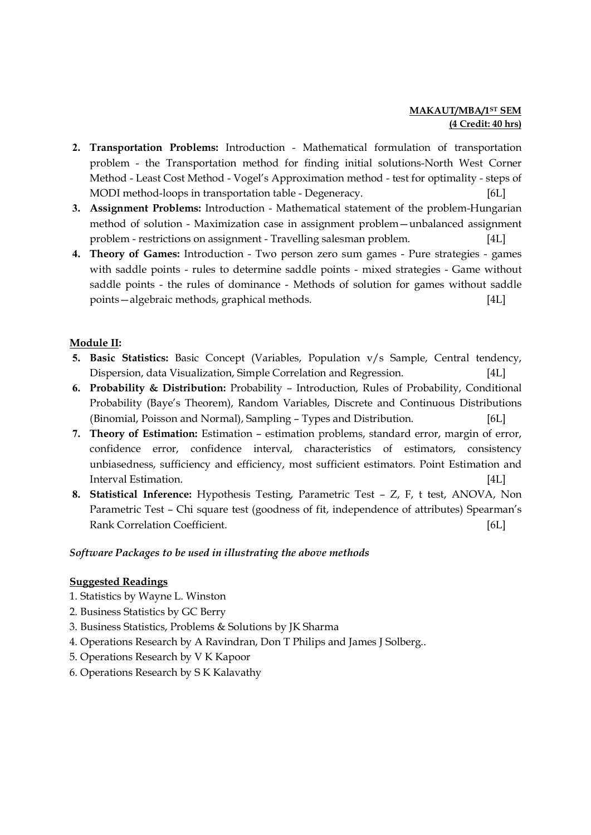### MAKAUT/MBA/1<sup>ST</sup> SEM (4 Credit: 40 hrs)

- 2. Transportation Problems: Introduction Mathematical formulation of transportation problem - the Transportation method for finding initial solutions-North West Corner Method - Least Cost Method - Vogel's Approximation method - test for optimality - steps of MODI method-loops in transportation table - Degeneracy. [6L]
- 3. Assignment Problems: Introduction Mathematical statement of the problem-Hungarian method of solution - Maximization case in assignment problem—unbalanced assignment problem - restrictions on assignment - Travelling salesman problem. [4L]
- 4. Theory of Games: Introduction Two person zero sum games Pure strategies games with saddle points - rules to determine saddle points - mixed strategies - Game without saddle points - the rules of dominance - Methods of solution for games without saddle points—algebraic methods, graphical methods. [4L]

#### Module II:

- 5. Basic Statistics: Basic Concept (Variables, Population v/s Sample, Central tendency, Dispersion, data Visualization, Simple Correlation and Regression. [4L]
- 6. Probability & Distribution: Probability Introduction, Rules of Probability, Conditional Probability (Baye's Theorem), Random Variables, Discrete and Continuous Distributions (Binomial, Poisson and Normal), Sampling – Types and Distribution. [6L]
- 7. Theory of Estimation: Estimation estimation problems, standard error, margin of error, confidence error, confidence interval, characteristics of estimators, consistency unbiasedness, sufficiency and efficiency, most sufficient estimators. Point Estimation and Interval Estimation. [4L]
- 8. Statistical Inference: Hypothesis Testing, Parametric Test Z, F, t test, ANOVA, Non Parametric Test – Chi square test (goodness of fit, independence of attributes) Spearman's Rank Correlation Coefficient. [6L]

### Software Packages to be used in illustrating the above methods

- 1. Statistics by Wayne L. Winston
- 2. Business Statistics by GC Berry
- 3. Business Statistics, Problems & Solutions by JK Sharma
- 4. Operations Research by A Ravindran, Don T Philips and James J Solberg..
- 5. Operations Research by V K Kapoor
- 6. Operations Research by S K Kalavathy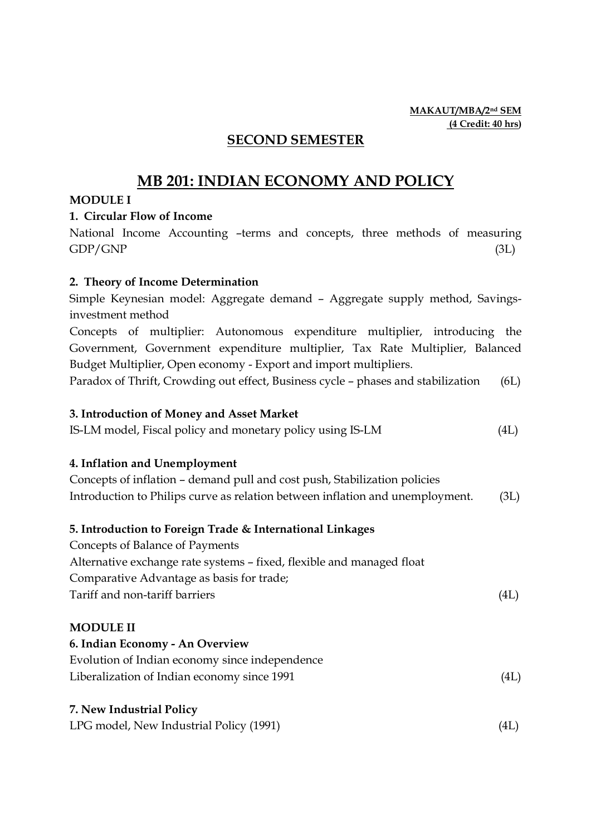### MAKAUT/MBA/2nd SEM (4 Credit: 40 hrs)

# SECOND SEMESTER

# MB 201: INDIAN ECONOMY AND POLICY

### MODULE I

### 1. Circular Flow of Income

National Income Accounting –terms and concepts, three methods of measuring  $GDP/GNP$  (3L)

### 2. Theory of Income Determination

Simple Keynesian model: Aggregate demand – Aggregate supply method, Savingsinvestment method Concepts of multiplier: Autonomous expenditure multiplier, introducing the

Government, Government expenditure multiplier, Tax Rate Multiplier, Balanced Budget Multiplier, Open economy - Export and import multipliers.

Paradox of Thrift, Crowding out effect, Business cycle – phases and stabilization (6L)

### 3. Introduction of Money and Asset Market

IS-LM model, Fiscal policy and monetary policy using IS-LM (4L)

## 4. Inflation and Unemployment

| Concepts of inflation – demand pull and cost push, Stabilization policies     |      |
|-------------------------------------------------------------------------------|------|
| Introduction to Philips curve as relation between inflation and unemployment. | (3L) |

### 5. Introduction to Foreign Trade & International Linkages

Concepts of Balance of Payments Alternative exchange rate systems – fixed, flexible and managed float Comparative Advantage as basis for trade; Tariff and non-tariff barriers (4L)

### MODULE II

6. Indian Economy - An Overview

| Evolution of Indian economy since independence |      |
|------------------------------------------------|------|
| Liberalization of Indian economy since 1991    | (4L) |

### 7. New Industrial Policy

LPG model, New Industrial Policy (1991) (4L)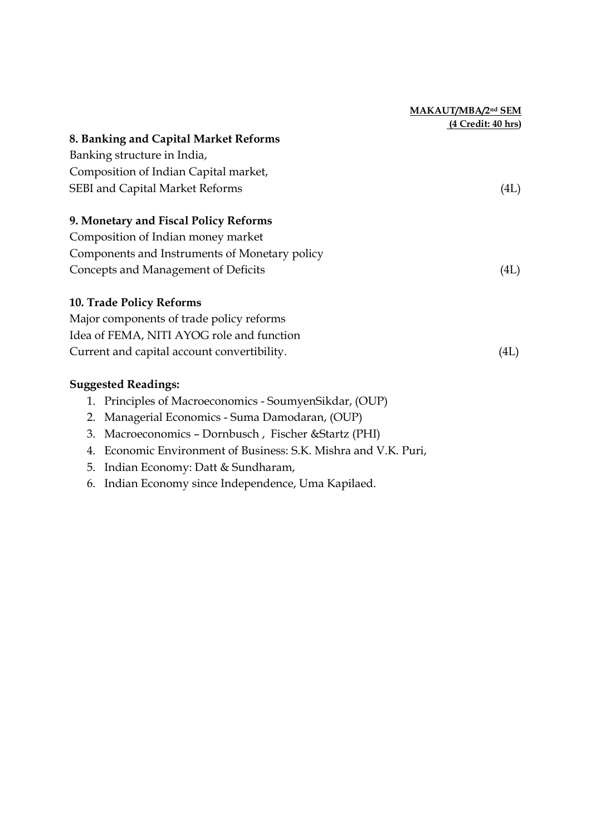|                                                               | MAKAUT/MBA/2nd SEM        |
|---------------------------------------------------------------|---------------------------|
|                                                               | <u>(4 Credit: 40 hrs)</u> |
| 8. Banking and Capital Market Reforms                         |                           |
| Banking structure in India,                                   |                           |
| Composition of Indian Capital market,                         |                           |
| SEBI and Capital Market Reforms                               | (4L)                      |
| 9. Monetary and Fiscal Policy Reforms                         |                           |
| Composition of Indian money market                            |                           |
| Components and Instruments of Monetary policy                 |                           |
| Concepts and Management of Deficits                           | (4L)                      |
| <b>10. Trade Policy Reforms</b>                               |                           |
| Major components of trade policy reforms                      |                           |
| Idea of FEMA, NITI AYOG role and function                     |                           |
| Current and capital account convertibility.                   | (4L)                      |
| $C_{\text{measured}}$ and $D_{\text{ex}}$ and $C_{\text{ex}}$ |                           |

- 1. Principles of Macroeconomics SoumyenSikdar, (OUP)
- 2. Managerial Economics Suma Damodaran, (OUP)
- 3. Macroeconomics Dornbusch , Fischer &Startz (PHI)
- 4. Economic Environment of Business: S.K. Mishra and V.K. Puri,
- 5. Indian Economy: Datt & Sundharam,
- 6. Indian Economy since Independence, Uma Kapilaed.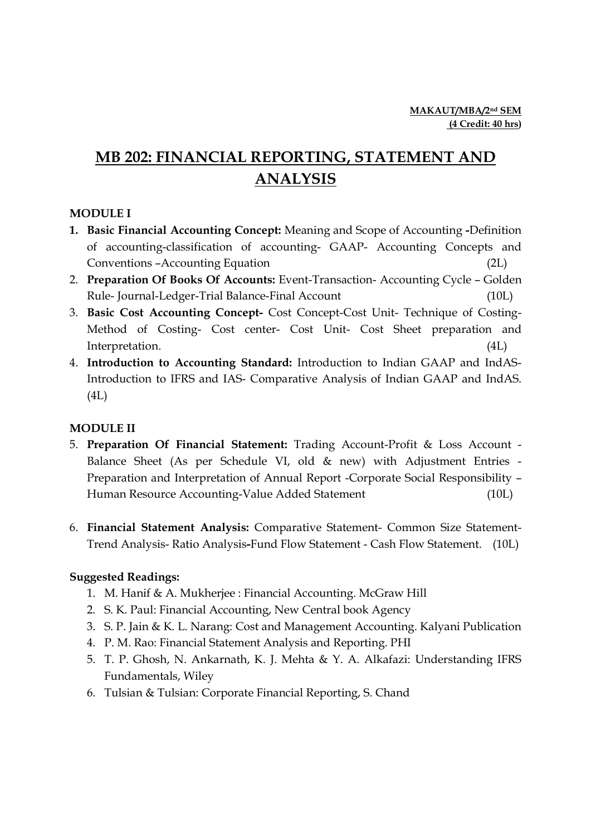# MB 202: FINANCIAL REPORTING, STATEMENT AND ANALYSIS

# MODULE I

- 1. Basic Financial Accounting Concept: Meaning and Scope of Accounting -Definition of accounting-classification of accounting- GAAP- Accounting Concepts and Conventions –Accounting Equation (2L)
- 2. Preparation Of Books Of Accounts: Event-Transaction- Accounting Cycle Golden Rule- Journal-Ledger-Trial Balance-Final Account (10L)
- 3. Basic Cost Accounting Concept- Cost Concept-Cost Unit- Technique of Costing-Method of Costing- Cost center- Cost Unit- Cost Sheet preparation and Interpretation. (4L)
- 4. Introduction to Accounting Standard: Introduction to Indian GAAP and IndAS-Introduction to IFRS and IAS- Comparative Analysis of Indian GAAP and IndAS. (4L)

## MODULE II

- 5. Preparation Of Financial Statement: Trading Account-Profit & Loss Account Balance Sheet (As per Schedule VI, old & new) with Adjustment Entries - Preparation and Interpretation of Annual Report -Corporate Social Responsibility – Human Resource Accounting-Value Added Statement (10L)
- 6. Financial Statement Analysis: Comparative Statement- Common Size Statement-Trend Analysis- Ratio Analysis-Fund Flow Statement - Cash Flow Statement. (10L)

- 1. M. Hanif & A. Mukherjee : Financial Accounting. McGraw Hill
- 2. S. K. Paul: Financial Accounting, New Central book Agency
- 3. S. P. Jain & K. L. Narang: Cost and Management Accounting. Kalyani Publication
- 4. P. M. Rao: Financial Statement Analysis and Reporting. PHI
- 5. T. P. Ghosh, N. Ankarnath, K. J. Mehta & Y. A. Alkafazi: Understanding IFRS Fundamentals, Wiley
- 6. Tulsian & Tulsian: Corporate Financial Reporting, S. Chand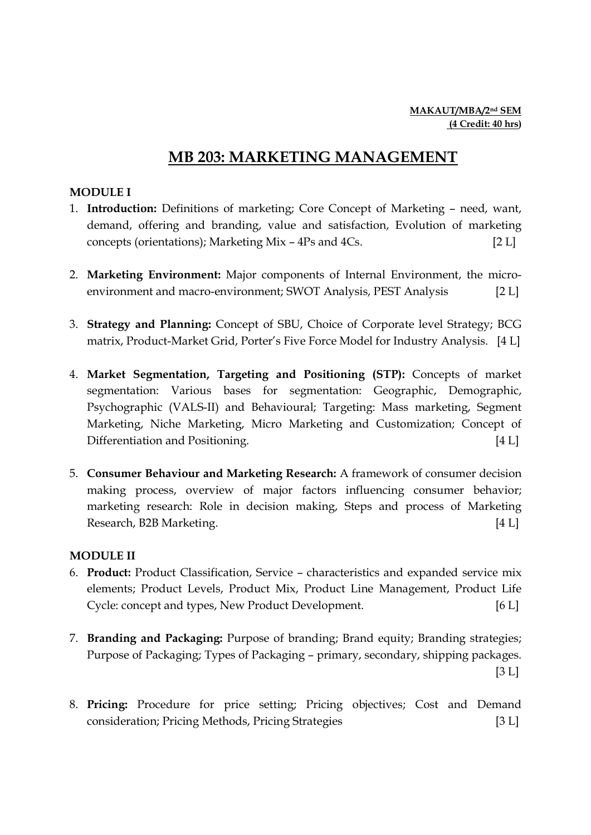# MB 203: MARKETING MANAGEMENT

# MODULE I

- 1. Introduction: Definitions of marketing; Core Concept of Marketing need, want, demand, offering and branding, value and satisfaction, Evolution of marketing concepts (orientations); Marketing Mix – 4Ps and 4Cs. [2 L]
- 2. Marketing Environment: Major components of Internal Environment, the microenvironment and macro-environment; SWOT Analysis, PEST Analysis [2 L]
- 3. Strategy and Planning: Concept of SBU, Choice of Corporate level Strategy; BCG matrix, Product-Market Grid, Porter's Five Force Model for Industry Analysis. [4 L]
- 4. Market Segmentation, Targeting and Positioning (STP): Concepts of market segmentation: Various bases for segmentation: Geographic, Demographic, Psychographic (VALS-II) and Behavioural; Targeting: Mass marketing, Segment Marketing, Niche Marketing, Micro Marketing and Customization; Concept of Differentiation and Positioning. [4 L]
- 5. Consumer Behaviour and Marketing Research: A framework of consumer decision making process, overview of major factors influencing consumer behavior; marketing research: Role in decision making, Steps and process of Marketing Research, B2B Marketing. [4 L]

## MODULE II

- 6. Product: Product Classification, Service characteristics and expanded service mix elements; Product Levels, Product Mix, Product Line Management, Product Life Cycle: concept and types, New Product Development. [6 L]
- 7. Branding and Packaging: Purpose of branding; Brand equity; Branding strategies; Purpose of Packaging; Types of Packaging – primary, secondary, shipping packages.  $[3 L]$
- 8. Pricing: Procedure for price setting; Pricing objectives; Cost and Demand consideration; Pricing Methods, Pricing Strategies [3 L]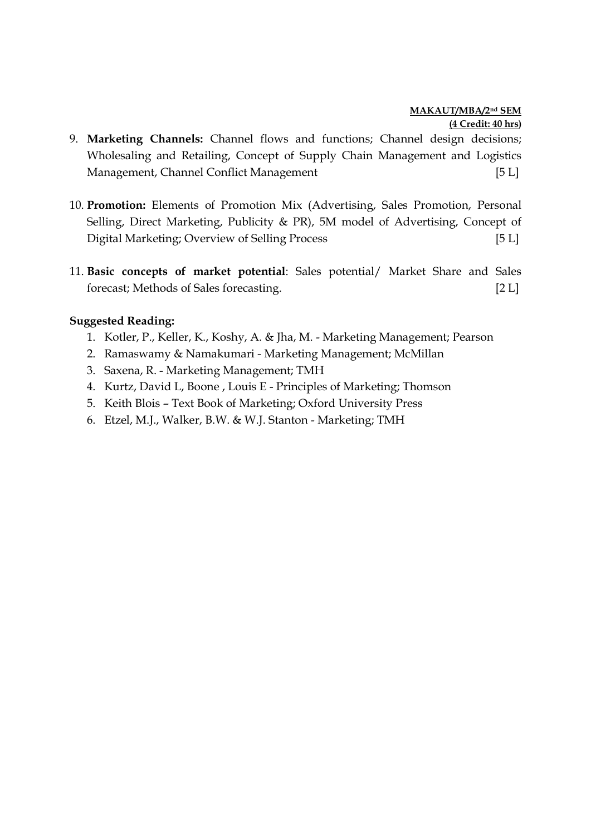### MAKAUT/MBA/2nd SEM (4 Credit: 40 hrs)

- 9. Marketing Channels: Channel flows and functions; Channel design decisions; Wholesaling and Retailing, Concept of Supply Chain Management and Logistics Management, Channel Conflict Management [5 L]
- 10. Promotion: Elements of Promotion Mix (Advertising, Sales Promotion, Personal Selling, Direct Marketing, Publicity & PR), 5M model of Advertising, Concept of Digital Marketing; Overview of Selling Process [5 L]
- 11. Basic concepts of market potential: Sales potential/ Market Share and Sales forecast; Methods of Sales forecasting. [2 L]

- 1. Kotler, P., Keller, K., Koshy, A. & Jha, M. Marketing Management; Pearson
- 2. Ramaswamy & Namakumari Marketing Management; McMillan
- 3. Saxena, R. Marketing Management; TMH
- 4. Kurtz, David L, Boone , Louis E Principles of Marketing; Thomson
- 5. Keith Blois Text Book of Marketing; Oxford University Press
- 6. Etzel, M.J., Walker, B.W. & W.J. Stanton Marketing; TMH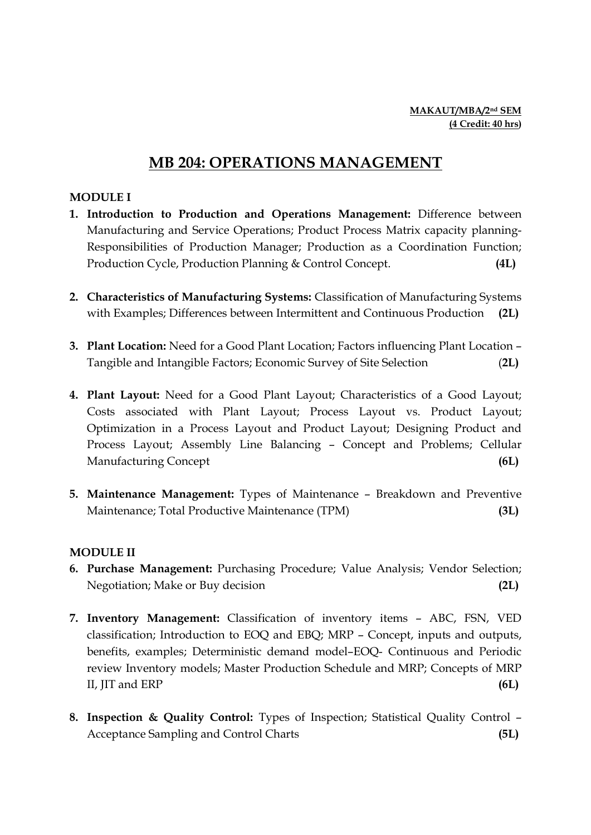# MB 204: OPERATIONS MANAGEMENT

### MODULE I

- 1. Introduction to Production and Operations Management: Difference between Manufacturing and Service Operations; Product Process Matrix capacity planning-Responsibilities of Production Manager; Production as a Coordination Function; Production Cycle, Production Planning & Control Concept. (4L)
- 2. Characteristics of Manufacturing Systems: Classification of Manufacturing Systems with Examples; Differences between Intermittent and Continuous Production (2L)
- 3. Plant Location: Need for a Good Plant Location; Factors influencing Plant Location Tangible and Intangible Factors; Economic Survey of Site Selection (2L)
- 4. Plant Layout: Need for a Good Plant Layout; Characteristics of a Good Layout; Costs associated with Plant Layout; Process Layout vs. Product Layout; Optimization in a Process Layout and Product Layout; Designing Product and Process Layout; Assembly Line Balancing – Concept and Problems; Cellular Manufacturing Concept (6L)
- 5. Maintenance Management: Types of Maintenance Breakdown and Preventive Maintenance; Total Productive Maintenance (TPM) (3L)

## MODULE II

- 6. Purchase Management: Purchasing Procedure; Value Analysis; Vendor Selection; Negotiation; Make or Buy decision (2L)
- 7. Inventory Management: Classification of inventory items ABC, FSN, VED classification; Introduction to EOQ and EBQ; MRP – Concept, inputs and outputs, benefits, examples; Deterministic demand model–EOQ- Continuous and Periodic review Inventory models; Master Production Schedule and MRP; Concepts of MRP II, JIT and ERP (6L)
- 8. Inspection & Quality Control: Types of Inspection; Statistical Quality Control Acceptance Sampling and Control Charts (5L)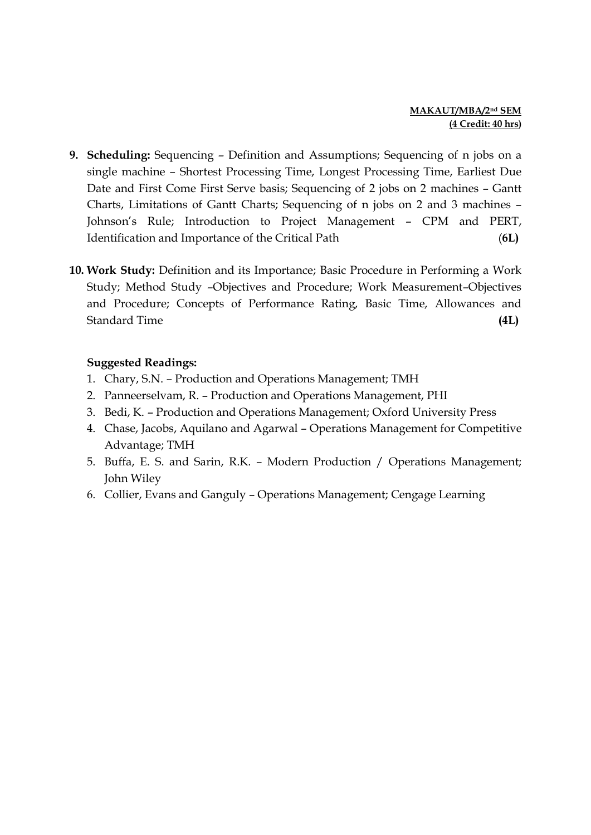### MAKAUT/MBA/2nd SEM (4 Credit: 40 hrs)

- 9. Scheduling: Sequencing Definition and Assumptions; Sequencing of n jobs on a single machine – Shortest Processing Time, Longest Processing Time, Earliest Due Date and First Come First Serve basis; Sequencing of 2 jobs on 2 machines – Gantt Charts, Limitations of Gantt Charts; Sequencing of n jobs on 2 and 3 machines – Johnson's Rule; Introduction to Project Management – CPM and PERT, Identification and Importance of the Critical Path (6L)
- 10. Work Study: Definition and its Importance; Basic Procedure in Performing a Work Study; Method Study –Objectives and Procedure; Work Measurement–Objectives and Procedure; Concepts of Performance Rating, Basic Time, Allowances and Standard Time (4L)

- 1. Chary, S.N. Production and Operations Management; TMH
- 2. Panneerselvam, R. Production and Operations Management, PHI
- 3. Bedi, K. Production and Operations Management; Oxford University Press
- 4. Chase, Jacobs, Aquilano and Agarwal Operations Management for Competitive Advantage; TMH
- 5. Buffa, E. S. and Sarin, R.K. Modern Production / Operations Management; John Wiley
- 6. Collier, Evans and Ganguly Operations Management; Cengage Learning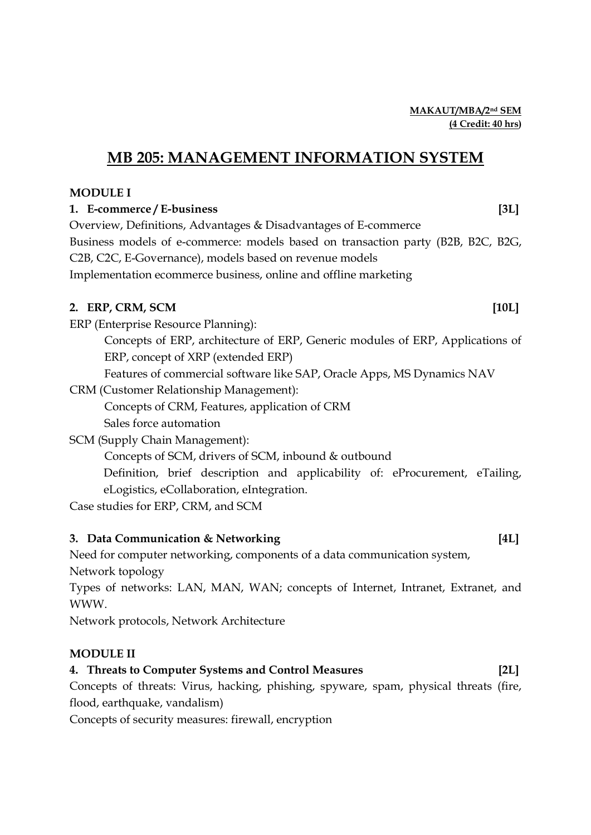# MB 205: MANAGEMENT INFORMATION SYSTEM

# MODULE I

# 1. E-commerce / E-business [3L]

Overview, Definitions, Advantages & Disadvantages of E-commerce Business models of e-commerce: models based on transaction party (B2B, B2C, B2G, C2B, C2C, E-Governance), models based on revenue models Implementation ecommerce business, online and offline marketing

# 2. ERP, CRM, SCM [10L]

ERP (Enterprise Resource Planning):

Concepts of ERP, architecture of ERP, Generic modules of ERP, Applications of ERP, concept of XRP (extended ERP)

Features of commercial software like SAP, Oracle Apps, MS Dynamics NAV

CRM (Customer Relationship Management):

Concepts of CRM, Features, application of CRM

Sales force automation

SCM (Supply Chain Management):

Concepts of SCM, drivers of SCM, inbound & outbound

Definition, brief description and applicability of: eProcurement, eTailing, eLogistics, eCollaboration, eIntegration.

Case studies for ERP, CRM, and SCM

# 3. Data Communication & Networking [4L]

Need for computer networking, components of a data communication system,

Network topology

Types of networks: LAN, MAN, WAN; concepts of Internet, Intranet, Extranet, and WWW.

Network protocols, Network Architecture

# MODULE II

# 4. Threats to Computer Systems and Control Measures [2L]

Concepts of threats: Virus, hacking, phishing, spyware, spam, physical threats (fire, flood, earthquake, vandalism)

Concepts of security measures: firewall, encryption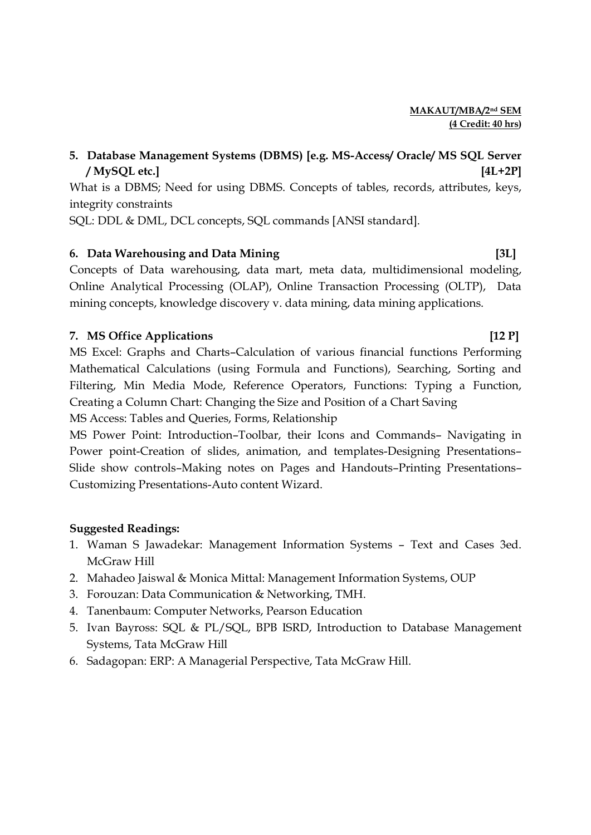# 5. Database Management Systems (DBMS) [e.g. MS-Access/ Oracle/ MS SQL Server / MySQL etc.] [4L+2P]

What is a DBMS; Need for using DBMS. Concepts of tables, records, attributes, keys, integrity constraints

SQL: DDL & DML, DCL concepts, SQL commands [ANSI standard].

# 6. Data Warehousing and Data Mining **6. Data Warehousing and Data Mining** [3L]

Concepts of Data warehousing, data mart, meta data, multidimensional modeling, Online Analytical Processing (OLAP), Online Transaction Processing (OLTP), Data mining concepts, knowledge discovery v. data mining, data mining applications.

# 7. MS Office Applications [12 P]

MS Excel: Graphs and Charts–Calculation of various financial functions Performing Mathematical Calculations (using Formula and Functions), Searching, Sorting and Filtering, Min Media Mode, Reference Operators, Functions: Typing a Function, Creating a Column Chart: Changing the Size and Position of a Chart Saving MS Access: Tables and Queries, Forms, Relationship

MS Power Point: Introduction–Toolbar, their Icons and Commands– Navigating in Power point-Creation of slides, animation, and templates-Designing Presentations– Slide show controls–Making notes on Pages and Handouts–Printing Presentations– Customizing Presentations-Auto content Wizard.

- 1. Waman S Jawadekar: Management Information Systems Text and Cases 3ed. McGraw Hill
- 2. Mahadeo Jaiswal & Monica Mittal: Management Information Systems, OUP
- 3. Forouzan: Data Communication & Networking, TMH.
- 4. Tanenbaum: Computer Networks, Pearson Education
- 5. Ivan Bayross: SQL & PL/SQL, BPB ISRD, Introduction to Database Management Systems, Tata McGraw Hill
- 6. Sadagopan: ERP: A Managerial Perspective, Tata McGraw Hill.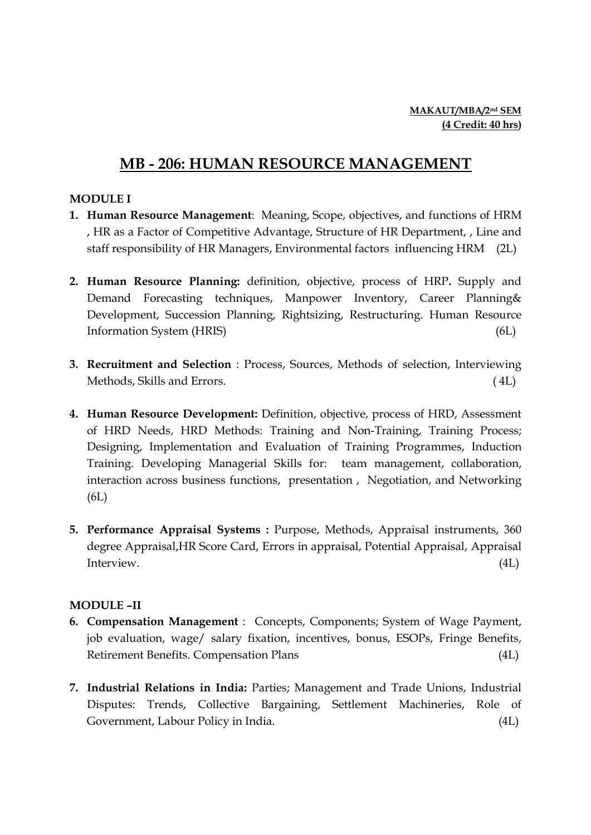# MB - 206: HUMAN RESOURCE MANAGEMENT

### MODULE I

- 1. Human Resource Management: Meaning, Scope, objectives, and functions of HRM , HR as a Factor of Competitive Advantage, Structure of HR Department, , Line and staff responsibility of HR Managers, Environmental factors influencing HRM (2L)
- 2. Human Resource Planning: definition, objective, process of HRP. Supply and Demand Forecasting techniques, Manpower Inventory, Career Planning& Development, Succession Planning, Rightsizing, Restructuring. Human Resource Information System (HRIS) (6L)
- 3. Recruitment and Selection : Process, Sources, Methods of selection, Interviewing Methods, Skills and Errors. ( 4L)
- 4. Human Resource Development: Definition, objective, process of HRD, Assessment of HRD Needs, HRD Methods: Training and Non-Training, Training Process; Designing, Implementation and Evaluation of Training Programmes, Induction Training. Developing Managerial Skills for: team management, collaboration, interaction across business functions, presentation , Negotiation, and Networking (6L)
- 5. Performance Appraisal Systems : Purpose, Methods, Appraisal instruments, 360 degree Appraisal,HR Score Card, Errors in appraisal, Potential Appraisal, Appraisal Interview. (4L)

## MODULE –II

- 6. Compensation Management : Concepts, Components; System of Wage Payment, job evaluation, wage/ salary fixation, incentives, bonus, ESOPs, Fringe Benefits, Retirement Benefits. Compensation Plans (4L)
- 7. Industrial Relations in India: Parties; Management and Trade Unions, Industrial Disputes: Trends, Collective Bargaining, Settlement Machineries, Role of Government, Labour Policy in India. (4L)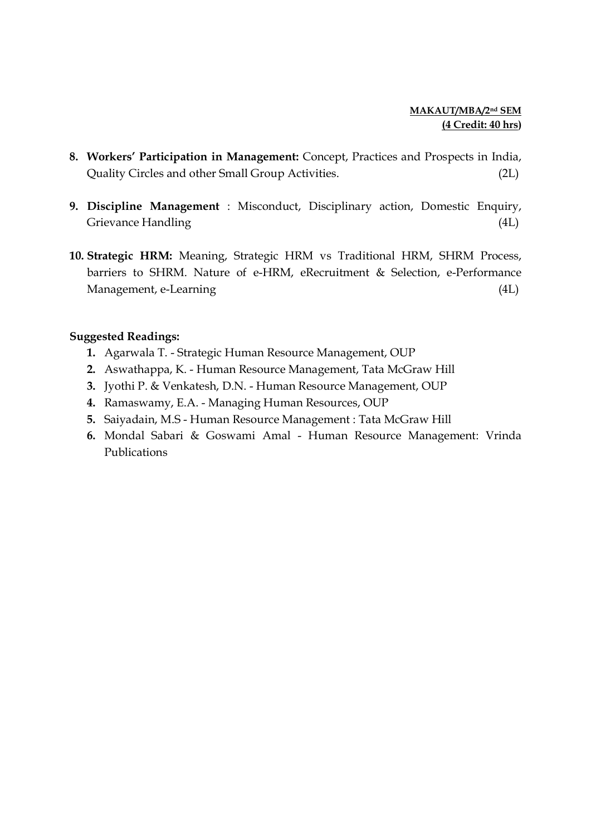- 8. Workers' Participation in Management: Concept, Practices and Prospects in India, Quality Circles and other Small Group Activities. (2L)
- 9. Discipline Management : Misconduct, Disciplinary action, Domestic Enquiry, Grievance Handling (4L)
- 10. Strategic HRM: Meaning, Strategic HRM vs Traditional HRM, SHRM Process, barriers to SHRM. Nature of e-HRM, eRecruitment & Selection, e-Performance Management, e-Learning (4L)

- 1. Agarwala T. Strategic Human Resource Management, OUP
- 2. Aswathappa, K. Human Resource Management, Tata McGraw Hill
- 3. Jyothi P. & Venkatesh, D.N. Human Resource Management, OUP
- 4. Ramaswamy, E.A. Managing Human Resources, OUP
- 5. Saiyadain, M.S Human Resource Management : Tata McGraw Hill
- 6. Mondal Sabari & Goswami Amal Human Resource Management: Vrinda Publications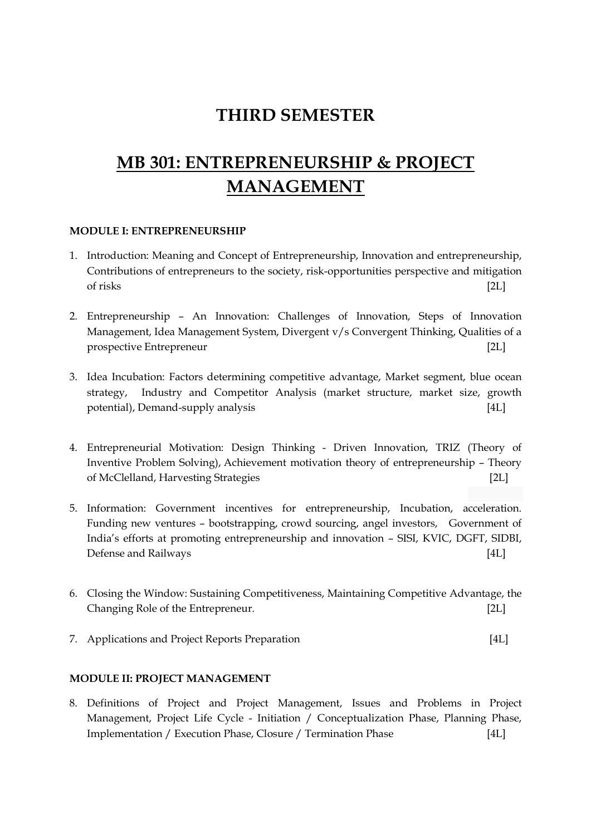# THIRD SEMESTER

# MB 301: ENTREPRENEURSHIP & PROJECT MANAGEMENT

#### MODULE I: ENTREPRENEURSHIP

- 1. Introduction: Meaning and Concept of Entrepreneurship, Innovation and entrepreneurship, Contributions of entrepreneurs to the society, risk-opportunities perspective and mitigation of risks [2L]
- 2. Entrepreneurship An Innovation: Challenges of Innovation, Steps of Innovation Management, Idea Management System, Divergent v/s Convergent Thinking, Qualities of a prospective Entrepreneur [2L]
- 3. Idea Incubation: Factors determining competitive advantage, Market segment, blue ocean strategy, Industry and Competitor Analysis (market structure, market size, growth potential), Demand-supply analysis [4L]
- 4. Entrepreneurial Motivation: Design Thinking Driven Innovation, TRIZ (Theory of Inventive Problem Solving), Achievement motivation theory of entrepreneurship – Theory of McClelland, Harvesting Strategies [2L]
- 5. Information: Government incentives for entrepreneurship, Incubation, acceleration. Funding new ventures – bootstrapping, crowd sourcing, angel investors, Government of India's efforts at promoting entrepreneurship and innovation – SISI, KVIC, DGFT, SIDBI, Defense and Railways [4L]
- 6. Closing the Window: Sustaining Competitiveness, Maintaining Competitive Advantage, the Changing Role of the Entrepreneur. [2L]
- 7. Applications and Project Reports Preparation [4L]

### MODULE II: PROJECT MANAGEMENT

8. Definitions of Project and Project Management, Issues and Problems in Project Management, Project Life Cycle - Initiation / Conceptualization Phase, Planning Phase, Implementation / Execution Phase, Closure / Termination Phase [4L]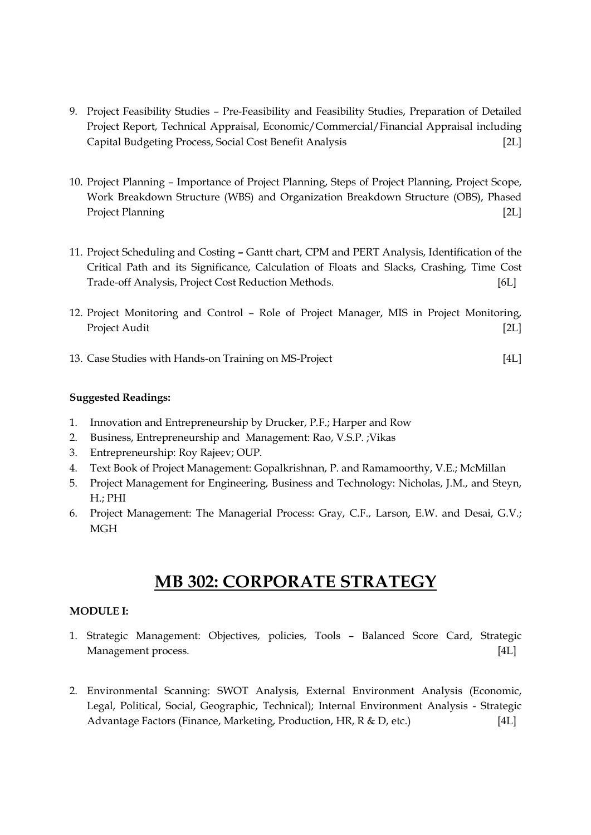- 9. Project Feasibility Studies Pre-Feasibility and Feasibility Studies, Preparation of Detailed Project Report, Technical Appraisal, Economic/Commercial/Financial Appraisal including Capital Budgeting Process, Social Cost Benefit Analysis [2L]
- 10. Project Planning Importance of Project Planning, Steps of Project Planning, Project Scope, Work Breakdown Structure (WBS) and Organization Breakdown Structure (OBS), Phased Project Planning [2L]
- 11. Project Scheduling and Costing Gantt chart, CPM and PERT Analysis, Identification of the Critical Path and its Significance, Calculation of Floats and Slacks, Crashing, Time Cost Trade-off Analysis, Project Cost Reduction Methods. [6L]
- 12. Project Monitoring and Control Role of Project Manager, MIS in Project Monitoring, Project Audit [2L]
- 13. Case Studies with Hands-on Training on MS-Project [4L]

- 1. Innovation and Entrepreneurship by Drucker, P.F.; Harper and Row
- 2. Business, Entrepreneurship and Management: Rao, V.S.P. ;Vikas
- 3. Entrepreneurship: Roy Rajeev; OUP.
- 4. Text Book of Project Management: Gopalkrishnan, P. and Ramamoorthy, V.E.; McMillan
- 5. Project Management for Engineering, Business and Technology: Nicholas, J.M., and Steyn, H.; PHI
- 6. Project Management: The Managerial Process: Gray, C.F., Larson, E.W. and Desai, G.V.; **MGH**

# MB 302: CORPORATE STRATEGY

#### MODULE I:

- 1. Strategic Management: Objectives, policies, Tools Balanced Score Card, Strategic Management process. [4L]
- 2. Environmental Scanning: SWOT Analysis, External Environment Analysis (Economic, Legal, Political, Social, Geographic, Technical); Internal Environment Analysis - Strategic Advantage Factors (Finance, Marketing, Production, HR, R & D, etc.) [4L]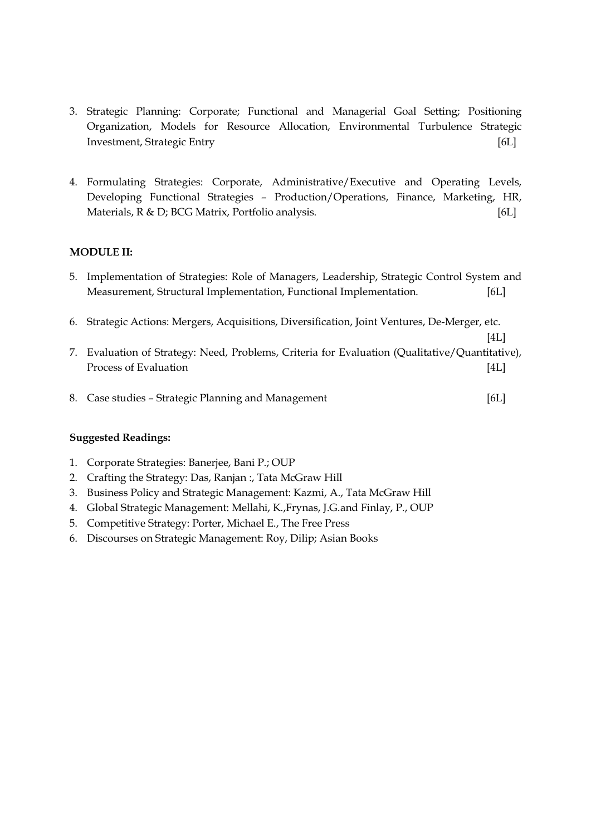- 3. Strategic Planning: Corporate; Functional and Managerial Goal Setting; Positioning Organization, Models for Resource Allocation, Environmental Turbulence Strategic Investment, Strategic Entry [6L]
- 4. Formulating Strategies: Corporate, Administrative/Executive and Operating Levels, Developing Functional Strategies – Production/Operations, Finance, Marketing, HR, Materials, R & D; BCG Matrix, Portfolio analysis. [6L]

### MODULE II:

- 5. Implementation of Strategies: Role of Managers, Leadership, Strategic Control System and Measurement, Structural Implementation, Functional Implementation. [6L]
- 6. Strategic Actions: Mergers, Acquisitions, Diversification, Joint Ventures, De-Merger, etc.
- $[4L]$ 7. Evaluation of Strategy: Need, Problems, Criteria for Evaluation (Qualitative/Quantitative), Process of Evaluation [4L]
- 8. Case studies Strategic Planning and Management [6L]

- 1. Corporate Strategies: Banerjee, Bani P.; OUP
- 2. Crafting the Strategy: Das, Ranjan :, Tata McGraw Hill
- 3. Business Policy and Strategic Management: Kazmi, A., Tata McGraw Hill
- 4. Global Strategic Management: Mellahi, K.,Frynas, J.G.and Finlay, P., OUP
- 5. Competitive Strategy: Porter, Michael E., The Free Press
- 6. Discourses on Strategic Management: Roy, Dilip; Asian Books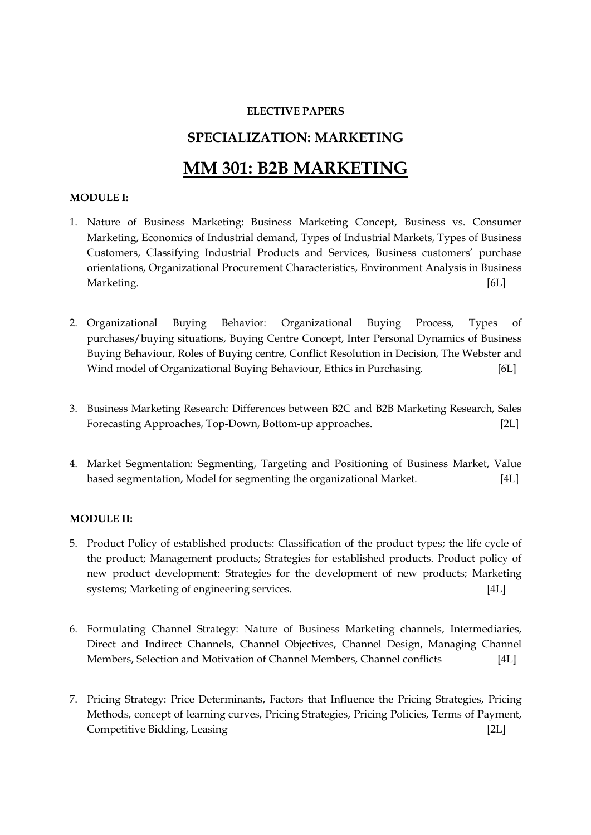#### ELECTIVE PAPERS

# SPECIALIZATION: MARKETING

# MM 301: B2B MARKETING

### MODULE I:

- 1. Nature of Business Marketing: Business Marketing Concept, Business vs. Consumer Marketing, Economics of Industrial demand, Types of Industrial Markets, Types of Business Customers, Classifying Industrial Products and Services, Business customers' purchase orientations, Organizational Procurement Characteristics, Environment Analysis in Business Marketing. [6L]
- 2. Organizational Buying Behavior: Organizational Buying Process, Types of purchases/buying situations, Buying Centre Concept, Inter Personal Dynamics of Business Buying Behaviour, Roles of Buying centre, Conflict Resolution in Decision, The Webster and Wind model of Organizational Buying Behaviour, Ethics in Purchasing. [6L]
- 3. Business Marketing Research: Differences between B2C and B2B Marketing Research, Sales Forecasting Approaches, Top-Down, Bottom-up approaches. [2L]
- 4. Market Segmentation: Segmenting, Targeting and Positioning of Business Market, Value based segmentation, Model for segmenting the organizational Market. [4L]

### MODULE II:

- 5. Product Policy of established products: Classification of the product types; the life cycle of the product; Management products; Strategies for established products. Product policy of new product development: Strategies for the development of new products; Marketing systems; Marketing of engineering services. [4L]
- 6. Formulating Channel Strategy: Nature of Business Marketing channels, Intermediaries, Direct and Indirect Channels, Channel Objectives, Channel Design, Managing Channel Members, Selection and Motivation of Channel Members, Channel conflicts [4L]
- 7. Pricing Strategy: Price Determinants, Factors that Influence the Pricing Strategies, Pricing Methods, concept of learning curves, Pricing Strategies, Pricing Policies, Terms of Payment, Competitive Bidding, Leasing [2L]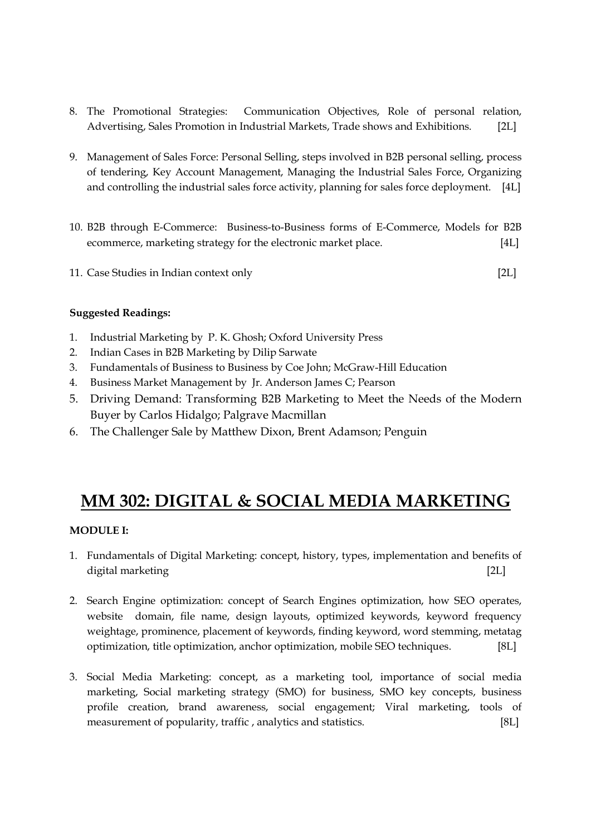- 8. The Promotional Strategies: Communication Objectives, Role of personal relation, Advertising, Sales Promotion in Industrial Markets, Trade shows and Exhibitions. [2L]
- 9. Management of Sales Force: Personal Selling, steps involved in B2B personal selling, process of tendering, Key Account Management, Managing the Industrial Sales Force, Organizing and controlling the industrial sales force activity, planning for sales force deployment. [4L]
- 10. B2B through E-Commerce: Business-to-Business forms of E-Commerce, Models for B2B ecommerce, marketing strategy for the electronic market place. [4L]
- 11. Case Studies in Indian context only [2L]

- 1. Industrial Marketing by P. K. Ghosh; Oxford University Press
- 2. Indian Cases in B2B Marketing by Dilip Sarwate
- 3. Fundamentals of Business to Business by Coe John; McGraw-Hill Education
- 4. Business Market Management by Jr. Anderson James C; Pearson
- 5. Driving Demand: Transforming B2B Marketing to Meet the Needs of the Modern Buyer by Carlos Hidalgo; Palgrave Macmillan
- 6. The Challenger Sale by Matthew Dixon, Brent Adamson; Penguin

# MM 302: DIGITAL & SOCIAL MEDIA MARKETING

### MODULE I:

- 1. Fundamentals of Digital Marketing: concept, history, types, implementation and benefits of digital marketing [2L]
- 2. Search Engine optimization: concept of Search Engines optimization, how SEO operates, website domain, file name, design layouts, optimized keywords, keyword frequency weightage, prominence, placement of keywords, finding keyword, word stemming, metatag optimization, title optimization, anchor optimization, mobile SEO techniques. [8L]
- 3. Social Media Marketing: concept, as a marketing tool, importance of social media marketing, Social marketing strategy (SMO) for business, SMO key concepts, business profile creation, brand awareness, social engagement; Viral marketing, tools of measurement of popularity, traffic, analytics and statistics. [8L]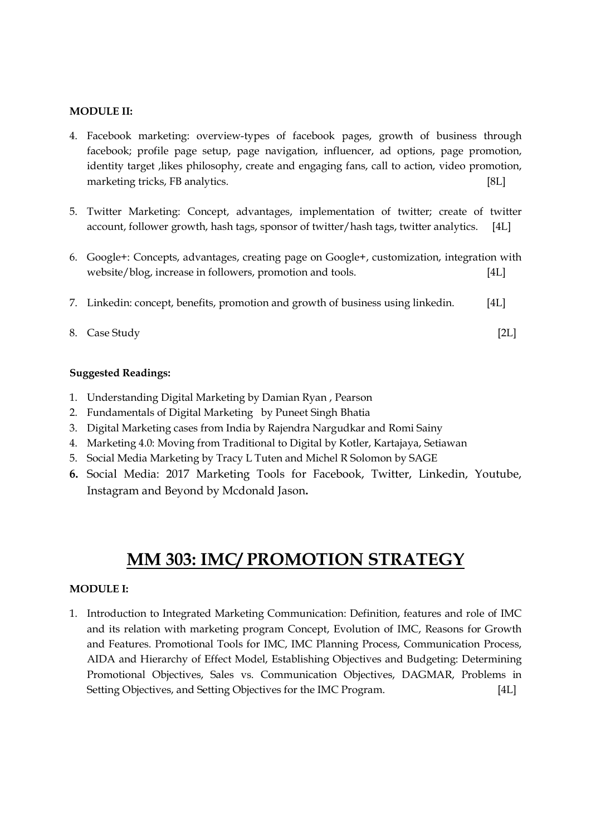#### MODULE II:

- 4. Facebook marketing: overview-types of facebook pages, growth of business through facebook; profile page setup, page navigation, influencer, ad options, page promotion, identity target , likes philosophy, create and engaging fans, call to action, video promotion, marketing tricks, FB analytics. [8L]
- 5. Twitter Marketing: Concept, advantages, implementation of twitter; create of twitter account, follower growth, hash tags, sponsor of twitter/hash tags, twitter analytics. [4L]
- 6. Google+: Concepts, advantages, creating page on Google+, customization, integration with website/blog, increase in followers, promotion and tools. [4L]
- 7. Linkedin: concept, benefits, promotion and growth of business using linkedin. [4L]
- 8. Case Study [2L]

### Suggested Readings:

- 1. Understanding Digital Marketing by Damian Ryan , Pearson
- 2. Fundamentals of Digital Marketing by Puneet Singh Bhatia
- 3. Digital Marketing cases from India by Rajendra Nargudkar and Romi Sainy
- 4. Marketing 4.0: Moving from Traditional to Digital by Kotler, Kartajaya, Setiawan
- 5. Social Media Marketing by Tracy L Tuten and Michel R Solomon by SAGE
- 6. Social Media: 2017 Marketing Tools for Facebook, Twitter, Linkedin, Youtube, Instagram and Beyond by Mcdonald Jason.

# MM 303: IMC/ PROMOTION STRATEGY

#### MODULE I:

1. Introduction to Integrated Marketing Communication: Definition, features and role of IMC and its relation with marketing program Concept, Evolution of IMC, Reasons for Growth and Features. Promotional Tools for IMC, IMC Planning Process, Communication Process, AIDA and Hierarchy of Effect Model, Establishing Objectives and Budgeting: Determining Promotional Objectives, Sales vs. Communication Objectives, DAGMAR, Problems in Setting Objectives, and Setting Objectives for the IMC Program. [4L]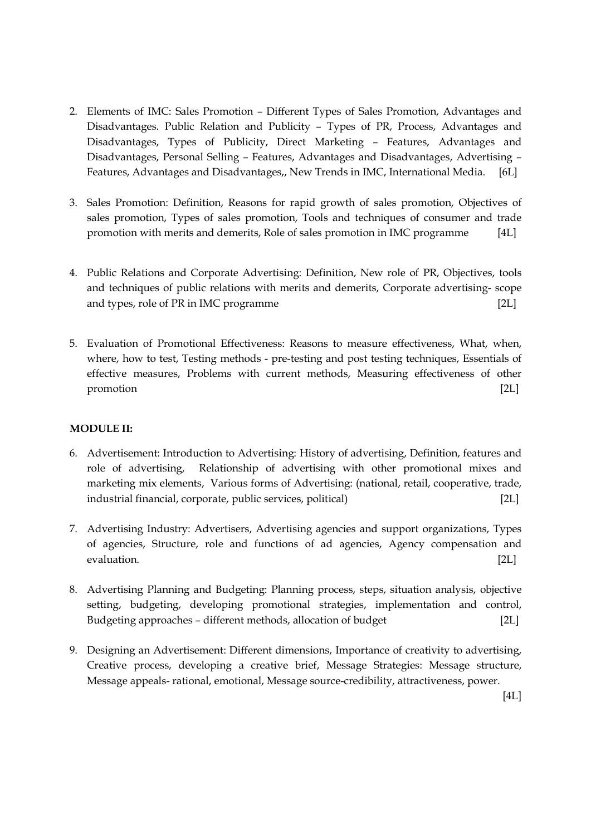- 2. Elements of IMC: Sales Promotion Different Types of Sales Promotion, Advantages and Disadvantages. Public Relation and Publicity – Types of PR, Process, Advantages and Disadvantages, Types of Publicity, Direct Marketing – Features, Advantages and Disadvantages, Personal Selling – Features, Advantages and Disadvantages, Advertising – Features, Advantages and Disadvantages,, New Trends in IMC, International Media. [6L]
- 3. Sales Promotion: Definition, Reasons for rapid growth of sales promotion, Objectives of sales promotion, Types of sales promotion, Tools and techniques of consumer and trade promotion with merits and demerits, Role of sales promotion in IMC programme [4L]
- 4. Public Relations and Corporate Advertising: Definition, New role of PR, Objectives, tools and techniques of public relations with merits and demerits, Corporate advertising- scope and types, role of PR in IMC programme [2L]
- 5. Evaluation of Promotional Effectiveness: Reasons to measure effectiveness, What, when, where, how to test, Testing methods - pre-testing and post testing techniques, Essentials of effective measures, Problems with current methods, Measuring effectiveness of other promotion [2L]

### MODULE II:

- 6. Advertisement: Introduction to Advertising: History of advertising, Definition, features and role of advertising, Relationship of advertising with other promotional mixes and marketing mix elements, Various forms of Advertising: (national, retail, cooperative, trade, industrial financial, corporate, public services, political) [2L]
- 7. Advertising Industry: Advertisers, Advertising agencies and support organizations, Types of agencies, Structure, role and functions of ad agencies, Agency compensation and evaluation. [2L]
- 8. Advertising Planning and Budgeting: Planning process, steps, situation analysis, objective setting, budgeting, developing promotional strategies, implementation and control, Budgeting approaches – different methods, allocation of budget [2L]
- 9. Designing an Advertisement: Different dimensions, Importance of creativity to advertising, Creative process, developing a creative brief, Message Strategies: Message structure, Message appeals- rational, emotional, Message source-credibility, attractiveness, power.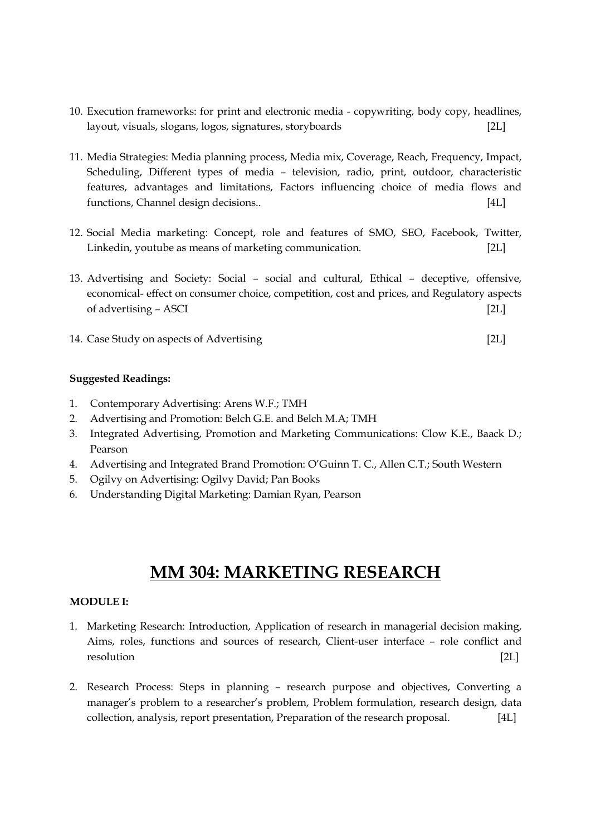- 10. Execution frameworks: for print and electronic media copywriting, body copy, headlines, layout, visuals, slogans, logos, signatures, storyboards [2L]
- 11. Media Strategies: Media planning process, Media mix, Coverage, Reach, Frequency, Impact, Scheduling, Different types of media – television, radio, print, outdoor, characteristic features, advantages and limitations, Factors influencing choice of media flows and functions, Channel design decisions.. [4L]
- 12. Social Media marketing: Concept, role and features of SMO, SEO, Facebook, Twitter, Linkedin, youtube as means of marketing communication. [2L]
- 13. Advertising and Society: Social social and cultural, Ethical deceptive, offensive, economical- effect on consumer choice, competition, cost and prices, and Regulatory aspects of advertising – ASCI [2L]
- 14. Case Study on aspects of Advertising [2L]

- 1. Contemporary Advertising: Arens W.F.; TMH
- 2. Advertising and Promotion: Belch G.E. and Belch M.A; TMH
- 3. Integrated Advertising, Promotion and Marketing Communications: Clow K.E., Baack D.; Pearson
- 4. Advertising and Integrated Brand Promotion: O'Guinn T. C., Allen C.T.; South Western
- 5. Ogilvy on Advertising: Ogilvy David; Pan Books
- 6. Understanding Digital Marketing: Damian Ryan, Pearson

# MM 304: MARKETING RESEARCH

#### MODULE I:

- 1. Marketing Research: Introduction, Application of research in managerial decision making, Aims, roles, functions and sources of research, Client-user interface – role conflict and resolution [2L]
- 2. Research Process: Steps in planning research purpose and objectives, Converting a manager's problem to a researcher's problem, Problem formulation, research design, data collection, analysis, report presentation, Preparation of the research proposal. [4L]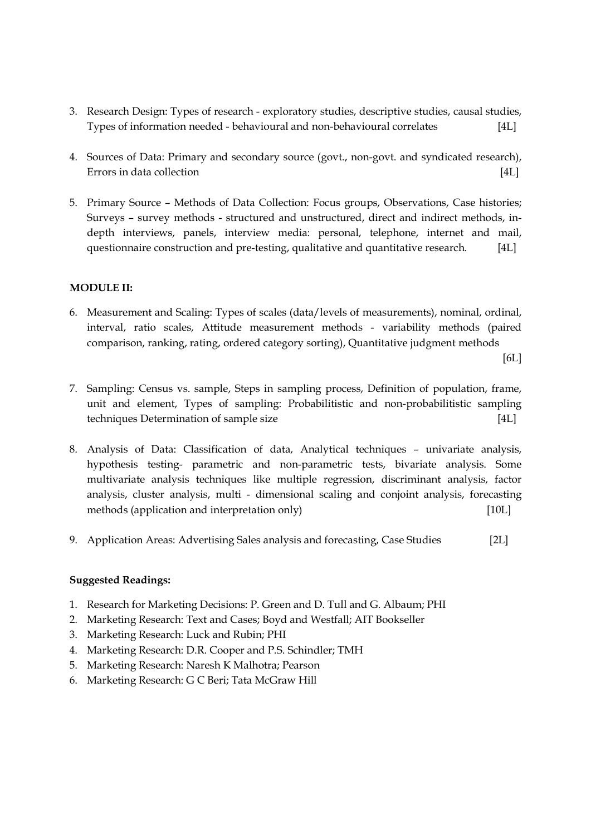- 3. Research Design: Types of research exploratory studies, descriptive studies, causal studies, Types of information needed - behavioural and non-behavioural correlates [4L]
- 4. Sources of Data: Primary and secondary source (govt., non-govt. and syndicated research), Errors in data collection **contract in the collection contract in the collection [4L]**
- 5. Primary Source Methods of Data Collection: Focus groups, Observations, Case histories; Surveys – survey methods - structured and unstructured, direct and indirect methods, indepth interviews, panels, interview media: personal, telephone, internet and mail, questionnaire construction and pre-testing, qualitative and quantitative research. [4L]

### MODULE II:

6. Measurement and Scaling: Types of scales (data/levels of measurements), nominal, ordinal, interval, ratio scales, Attitude measurement methods - variability methods (paired comparison, ranking, rating, ordered category sorting), Quantitative judgment methods

 $[6L]$ 

- 7. Sampling: Census vs. sample, Steps in sampling process, Definition of population, frame, unit and element, Types of sampling: Probabilitistic and non-probabilitistic sampling techniques Determination of sample size [4L]
- 8. Analysis of Data: Classification of data, Analytical techniques univariate analysis, hypothesis testing- parametric and non-parametric tests, bivariate analysis. Some multivariate analysis techniques like multiple regression, discriminant analysis, factor analysis, cluster analysis, multi - dimensional scaling and conjoint analysis, forecasting methods (application and interpretation only) [10L]
- 9. Application Areas: Advertising Sales analysis and forecasting, Case Studies [2L]

- 1. Research for Marketing Decisions: P. Green and D. Tull and G. Albaum; PHI
- 2. Marketing Research: Text and Cases; Boyd and Westfall; AIT Bookseller
- 3. Marketing Research: Luck and Rubin; PHI
- 4. Marketing Research: D.R. Cooper and P.S. Schindler; TMH
- 5. Marketing Research: Naresh K Malhotra; Pearson
- 6. Marketing Research: G C Beri; Tata McGraw Hill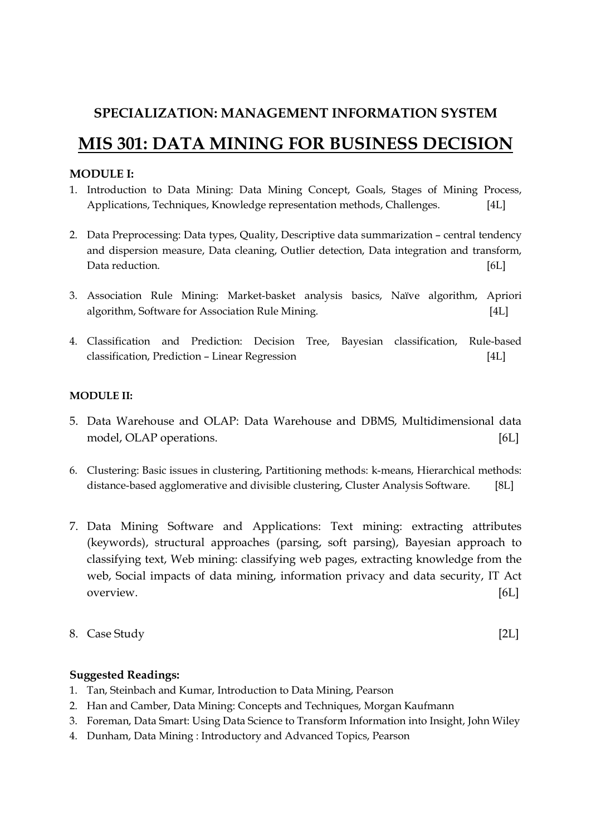# SPECIALIZATION: MANAGEMENT INFORMATION SYSTEM

# MIS 301: DATA MINING FOR BUSINESS DECISION

## MODULE I:

- 1. Introduction to Data Mining: Data Mining Concept, Goals, Stages of Mining Process, Applications, Techniques, Knowledge representation methods, Challenges. [4L]
- 2. Data Preprocessing: Data types, Quality, Descriptive data summarization central tendency and dispersion measure, Data cleaning, Outlier detection, Data integration and transform, Data reduction. [6L]
- 3. Association Rule Mining: Market-basket analysis basics, Naïve algorithm, Apriori algorithm, Software for Association Rule Mining. [4L]
- 4. Classification and Prediction: Decision Tree, Bayesian classification, Rule-based classification, Prediction – Linear Regression [4L]

### MODULE II:

- 5. Data Warehouse and OLAP: Data Warehouse and DBMS, Multidimensional data model, OLAP operations. [6L]
- 6. Clustering: Basic issues in clustering, Partitioning methods: k-means, Hierarchical methods: distance-based agglomerative and divisible clustering, Cluster Analysis Software. [8L]
- 7. Data Mining Software and Applications: Text mining: extracting attributes (keywords), structural approaches (parsing, soft parsing), Bayesian approach to classifying text, Web mining: classifying web pages, extracting knowledge from the web, Social impacts of data mining, information privacy and data security, IT Act overview. [6L]
- 8. Case Study [2L]

- 1. Tan, Steinbach and Kumar, Introduction to Data Mining, Pearson
- 2. Han and Camber, Data Mining: Concepts and Techniques, Morgan Kaufmann
- 3. Foreman, Data Smart: Using Data Science to Transform Information into Insight, John Wiley
- 4. Dunham, Data Mining : Introductory and Advanced Topics, Pearson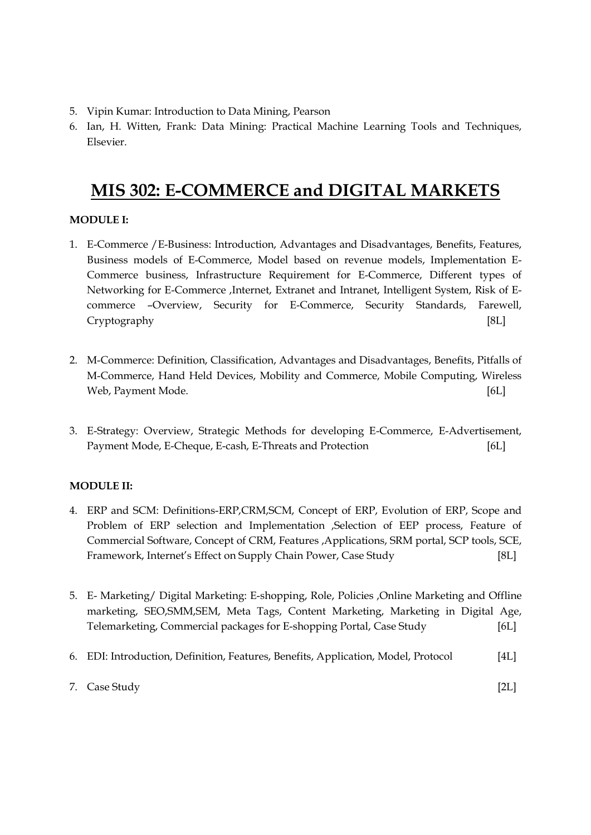- 5. Vipin Kumar: Introduction to Data Mining, Pearson
- 6. Ian, H. Witten, Frank: Data Mining: Practical Machine Learning Tools and Techniques, Elsevier.

# MIS 302: E-COMMERCE and DIGITAL MARKETS

## MODULE I:

- 1. E-Commerce /E-Business: Introduction, Advantages and Disadvantages, Benefits, Features, Business models of E-Commerce, Model based on revenue models, Implementation E-Commerce business, Infrastructure Requirement for E-Commerce, Different types of Networking for E-Commerce ,Internet, Extranet and Intranet, Intelligent System, Risk of Ecommerce –Overview, Security for E-Commerce, Security Standards, Farewell, Cryptography [8L]
- 2. M-Commerce: Definition, Classification, Advantages and Disadvantages, Benefits, Pitfalls of M-Commerce, Hand Held Devices, Mobility and Commerce, Mobile Computing, Wireless Web, Payment Mode. [6L]
- 3. E-Strategy: Overview, Strategic Methods for developing E-Commerce, E-Advertisement, Payment Mode, E-Cheque, E-cash, E-Threats and Protection [6L]

## MODULE II:

- 4. ERP and SCM: Definitions-ERP,CRM,SCM, Concept of ERP, Evolution of ERP, Scope and Problem of ERP selection and Implementation ,Selection of EEP process, Feature of Commercial Software, Concept of CRM, Features ,Applications, SRM portal, SCP tools, SCE, Framework, Internet's Effect on Supply Chain Power, Case Study [8L]
- 5. E- Marketing/ Digital Marketing: E-shopping, Role, Policies ,Online Marketing and Offline marketing, SEO,SMM,SEM, Meta Tags, Content Marketing, Marketing in Digital Age, Telemarketing, Commercial packages for E-shopping Portal, Case Study [6L]
- 6. EDI: Introduction, Definition, Features, Benefits, Application, Model, Protocol [4L]

|  | 7. Case Study | [2L] |  |
|--|---------------|------|--|
|--|---------------|------|--|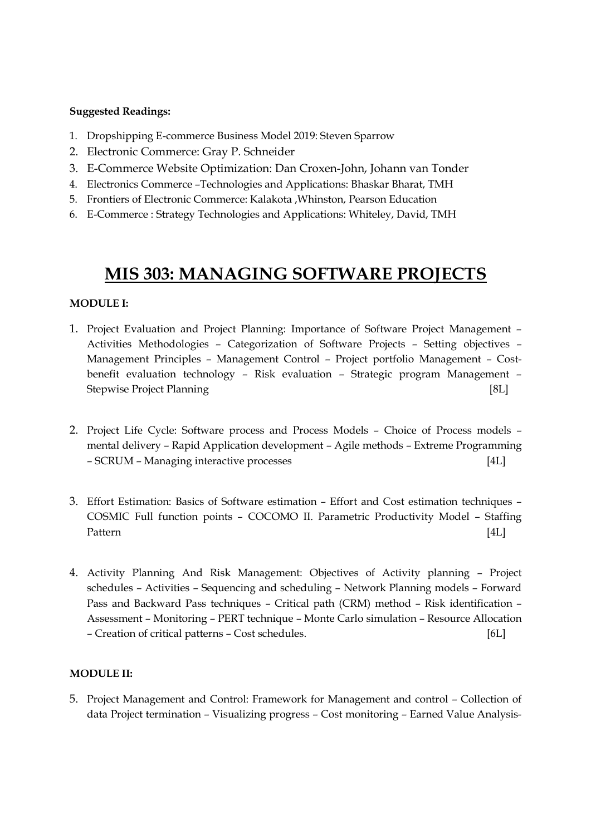- 1. Dropshipping E-commerce Business Model 2019: Steven Sparrow
- 2. Electronic Commerce: Gray P. Schneider
- 3. E-Commerce Website Optimization: Dan Croxen-John, Johann van Tonder
- 4. Electronics Commerce –Technologies and Applications: Bhaskar Bharat, TMH
- 5. Frontiers of Electronic Commerce: Kalakota ,Whinston, Pearson Education
- 6. E-Commerce : Strategy Technologies and Applications: Whiteley, David, TMH

# MIS 303: MANAGING SOFTWARE PROJECTS

### MODULE I:

- 1. Project Evaluation and Project Planning: Importance of Software Project Management Activities Methodologies – Categorization of Software Projects – Setting objectives – Management Principles – Management Control – Project portfolio Management – Costbenefit evaluation technology – Risk evaluation – Strategic program Management – Stepwise Project Planning [8L]
- 2. Project Life Cycle: Software process and Process Models Choice of Process models mental delivery – Rapid Application development – Agile methods – Extreme Programming – SCRUM – Managing interactive processes [4L]
- 3. Effort Estimation: Basics of Software estimation Effort and Cost estimation techniques COSMIC Full function points – COCOMO II. Parametric Productivity Model – Staffing Pattern [4L]
- 4. Activity Planning And Risk Management: Objectives of Activity planning Project schedules – Activities – Sequencing and scheduling – Network Planning models – Forward Pass and Backward Pass techniques – Critical path (CRM) method – Risk identification – Assessment – Monitoring – PERT technique – Monte Carlo simulation – Resource Allocation – Creation of critical patterns – Cost schedules. [6L]

### MODULE II:

5. Project Management and Control: Framework for Management and control – Collection of data Project termination – Visualizing progress – Cost monitoring – Earned Value Analysis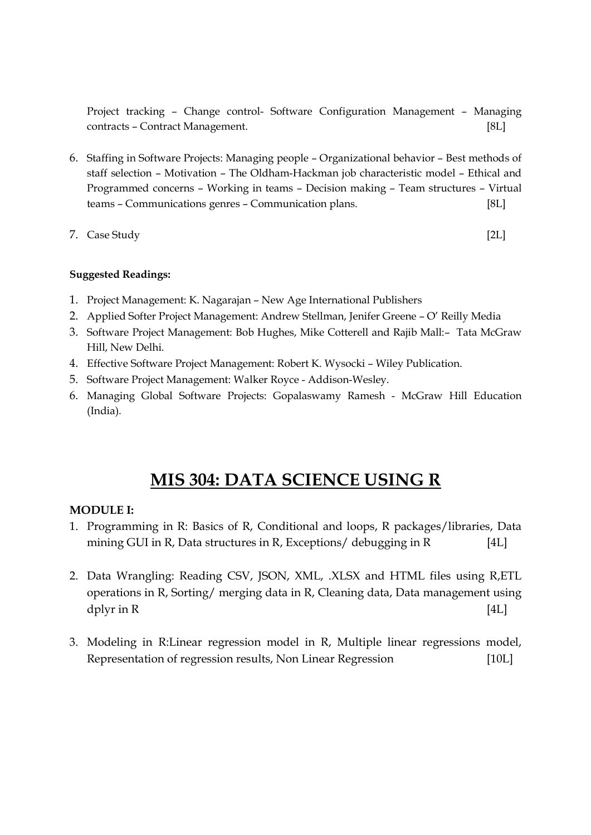Project tracking – Change control- Software Configuration Management – Managing contracts – Contract Management. [8L]

- 6. Staffing in Software Projects: Managing people Organizational behavior Best methods of staff selection – Motivation – The Oldham-Hackman job characteristic model – Ethical and Programmed concerns – Working in teams – Decision making – Team structures – Virtual teams – Communications genres – Communication plans. [8L]
- 7. Case Study [2L]

## Suggested Readings:

- 1. Project Management: K. Nagarajan New Age International Publishers
- 2. Applied Softer Project Management: Andrew Stellman, Jenifer Greene O' Reilly Media
- 3. Software Project Management: Bob Hughes, Mike Cotterell and Rajib Mall:– Tata McGraw Hill, New Delhi.
- 4. Effective Software Project Management: Robert K. Wysocki Wiley Publication.
- 5. Software Project Management: Walker Royce Addison-Wesley.
- 6. Managing Global Software Projects: Gopalaswamy Ramesh McGraw Hill Education (India).

# MIS 304: DATA SCIENCE USING R

# MODULE I:

- 1. Programming in R: Basics of R, Conditional and loops, R packages/libraries, Data mining GUI in R, Data structures in R, Exceptions/ debugging in R [4L]
- 2. Data Wrangling: Reading CSV, JSON, XML, .XLSX and HTML files using R,ETL operations in R, Sorting/ merging data in R, Cleaning data, Data management using  $d$  plyr in R  $[4L]$
- 3. Modeling in R:Linear regression model in R, Multiple linear regressions model, Representation of regression results, Non Linear Regression [10L]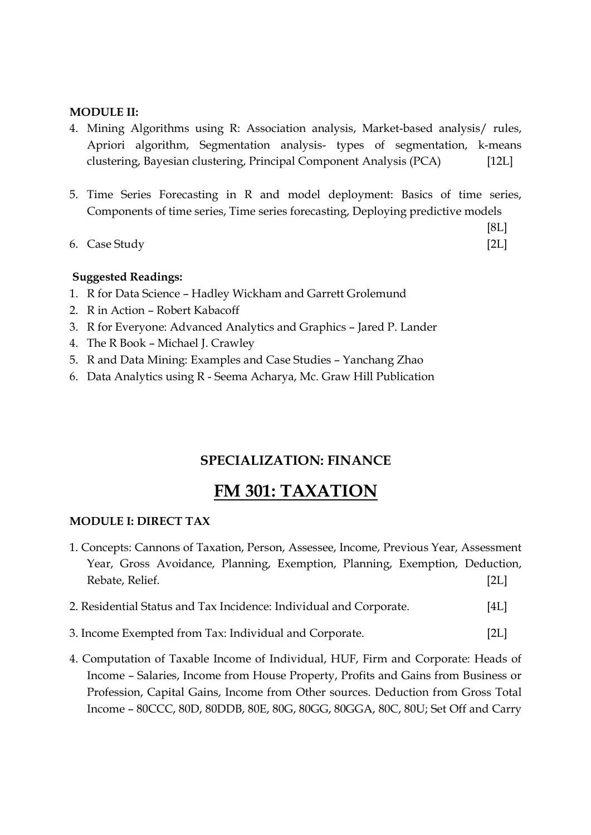### MODULE II:

- 4. Mining Algorithms using R: Association analysis, Market-based analysis/ rules, Apriori algorithm, Segmentation analysis- types of segmentation, k-means clustering, Bayesian clustering, Principal Component Analysis (PCA) [12L]
- 5. Time Series Forecasting in R and model deployment: Basics of time series, Components of time series, Time series forecasting, Deploying predictive models
- 6. Case Study [2L]

[8L]

### Suggested Readings:

- 1. R for Data Science Hadley Wickham and Garrett Grolemund
- 2. R in Action Robert Kabacoff
- 3. R for Everyone: Advanced Analytics and Graphics Jared P. Lander
- 4. The R Book Michael J. Crawley
- 5. R and Data Mining: Examples and Case Studies Yanchang Zhao
- 6. Data Analytics using R Seema Acharya, Mc. Graw Hill Publication

# SPECIALIZATION: FINANCE

# FM 301: TAXATION

### MODULE I: DIRECT TAX

|  |                 |  |  | 1. Concepts: Cannons of Taxation, Person, Assessee, Income, Previous Year, Assessment |      |
|--|-----------------|--|--|---------------------------------------------------------------------------------------|------|
|  |                 |  |  | Year, Gross Avoidance, Planning, Exemption, Planning, Exemption, Deduction,           |      |
|  | Rebate, Relief. |  |  |                                                                                       | [2L] |

- 2. Residential Status and Tax Incidence: Individual and Corporate. [4L]
- 3. Income Exempted from Tax: Individual and Corporate. [2L]
- 4. Computation of Taxable Income of Individual, HUF, Firm and Corporate: Heads of Income – Salaries, Income from House Property, Profits and Gains from Business or Profession, Capital Gains, Income from Other sources. Deduction from Gross Total Income – 80CCC, 80D, 80DDB, 80E, 80G, 80GG, 80GGA, 80C, 80U; Set Off and Carry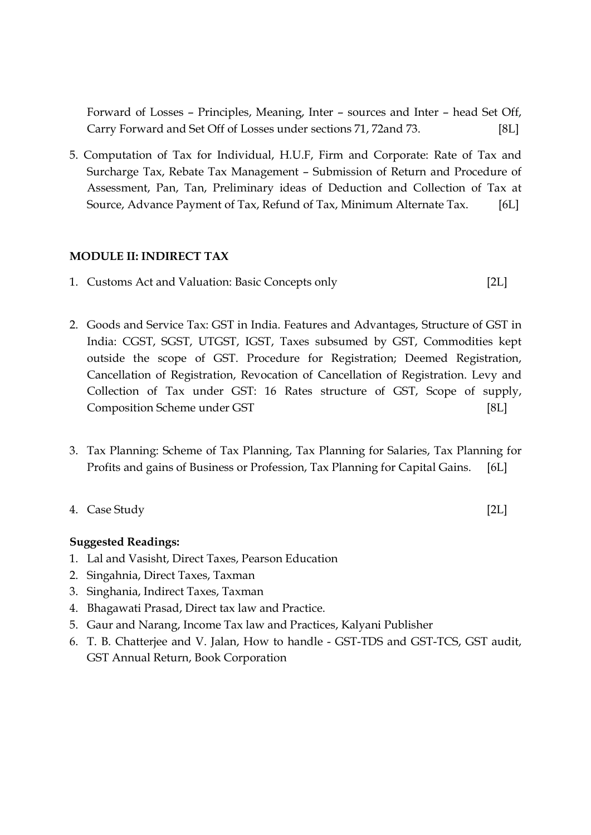Forward of Losses – Principles, Meaning, Inter – sources and Inter – head Set Off, Carry Forward and Set Off of Losses under sections 71, 72and 73. [8L]

5. Computation of Tax for Individual, H.U.F, Firm and Corporate: Rate of Tax and Surcharge Tax, Rebate Tax Management – Submission of Return and Procedure of Assessment, Pan, Tan, Preliminary ideas of Deduction and Collection of Tax at Source, Advance Payment of Tax, Refund of Tax, Minimum Alternate Tax. [6L]

### MODULE II: INDIRECT TAX

- 1. Customs Act and Valuation: Basic Concepts only [2L]
- 2. Goods and Service Tax: GST in India. Features and Advantages, Structure of GST in India: CGST, SGST, UTGST, IGST, Taxes subsumed by GST, Commodities kept outside the scope of GST. Procedure for Registration; Deemed Registration, Cancellation of Registration, Revocation of Cancellation of Registration. Levy and Collection of Tax under GST: 16 Rates structure of GST, Scope of supply, Composition Scheme under GST [8L]
- 3. Tax Planning: Scheme of Tax Planning, Tax Planning for Salaries, Tax Planning for Profits and gains of Business or Profession, Tax Planning for Capital Gains. [6L]
- 4. Case Study [2L]

- 1. Lal and Vasisht, Direct Taxes, Pearson Education
- 2. Singahnia, Direct Taxes, Taxman
- 3. Singhania, Indirect Taxes, Taxman
- 4. Bhagawati Prasad, Direct tax law and Practice.
- 5. Gaur and Narang, Income Tax law and Practices, Kalyani Publisher
- 6. T. B. Chatterjee and V. Jalan, How to handle GST-TDS and GST-TCS, GST audit, GST Annual Return, Book Corporation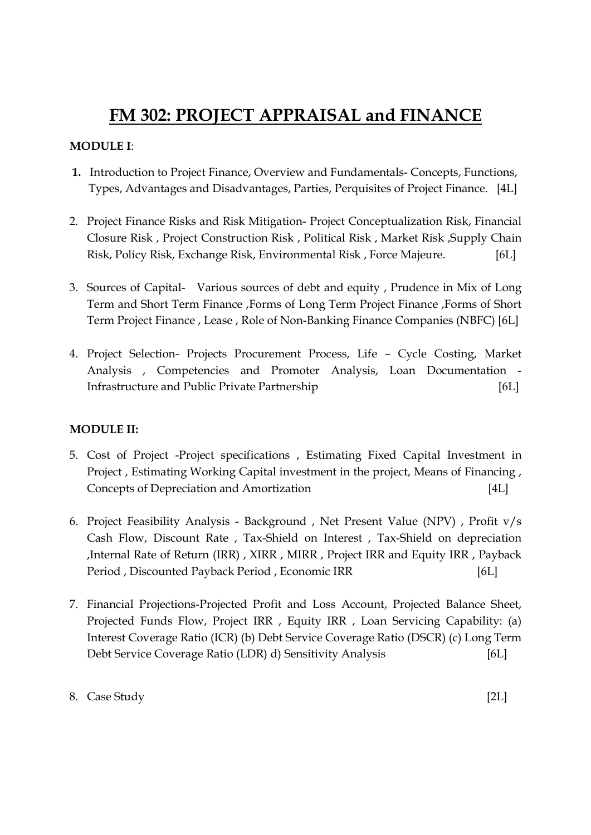# FM 302: PROJECT APPRAISAL and FINANCE

# MODULE I:

- 1. Introduction to Project Finance, Overview and Fundamentals- Concepts, Functions, Types, Advantages and Disadvantages, Parties, Perquisites of Project Finance. [4L]
- 2. Project Finance Risks and Risk Mitigation- Project Conceptualization Risk, Financial Closure Risk , Project Construction Risk , Political Risk , Market Risk ,Supply Chain Risk, Policy Risk, Exchange Risk, Environmental Risk , Force Majeure. [6L]
- 3. Sources of Capital- Various sources of debt and equity , Prudence in Mix of Long Term and Short Term Finance ,Forms of Long Term Project Finance ,Forms of Short Term Project Finance , Lease , Role of Non-Banking Finance Companies (NBFC) [6L]
- 4. Project Selection- Projects Procurement Process, Life Cycle Costing, Market Analysis , Competencies and Promoter Analysis, Loan Documentation - Infrastructure and Public Private Partnership [6L]

# MODULE II:

- 5. Cost of Project -Project specifications , Estimating Fixed Capital Investment in Project , Estimating Working Capital investment in the project, Means of Financing , Concepts of Depreciation and Amortization [4L]
- 6. Project Feasibility Analysis Background , Net Present Value (NPV) , Profit v/s Cash Flow, Discount Rate , Tax-Shield on Interest , Tax-Shield on depreciation ,Internal Rate of Return (IRR) , XIRR , MIRR , Project IRR and Equity IRR , Payback Period , Discounted Payback Period , Economic IRR [6L]
- 7. Financial Projections-Projected Profit and Loss Account, Projected Balance Sheet, Projected Funds Flow, Project IRR , Equity IRR , Loan Servicing Capability: (a) Interest Coverage Ratio (ICR) (b) Debt Service Coverage Ratio (DSCR) (c) Long Term Debt Service Coverage Ratio (LDR) d) Sensitivity Analysis [6L]

## 8. Case Study [2L]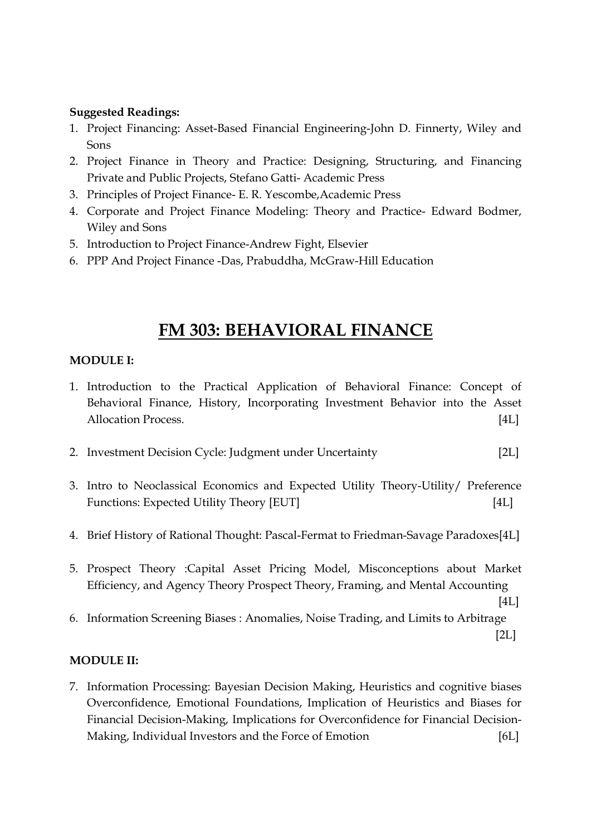- 1. Project Financing: Asset-Based Financial Engineering-John D. Finnerty, Wiley and Sons
- 2. Project Finance in Theory and Practice: Designing, Structuring, and Financing Private and Public Projects, Stefano Gatti- Academic Press
- 3. Principles of Project Finance- E. R. Yescombe,Academic Press
- 4. Corporate and Project Finance Modeling: Theory and Practice- Edward Bodmer, Wiley and Sons
- 5. Introduction to Project Finance-Andrew Fight, Elsevier
- 6. PPP And Project Finance -Das, Prabuddha, McGraw-Hill Education

# FM 303: BEHAVIORAL FINANCE

# MODULE I:

- 1. Introduction to the Practical Application of Behavioral Finance: Concept of Behavioral Finance, History, Incorporating Investment Behavior into the Asset Allocation Process. [4L]
- 2. Investment Decision Cycle: Judgment under Uncertainty [2L]
- 3. Intro to Neoclassical Economics and Expected Utility Theory-Utility/ Preference Functions: Expected Utility Theory [EUT] [4L]
- 4. Brief History of Rational Thought: Pascal-Fermat to Friedman-Savage Paradoxes[4L]
- 5. Prospect Theory :Capital Asset Pricing Model, Misconceptions about Market Efficiency, and Agency Theory Prospect Theory, Framing, and Mental Accounting

```
[4L]
```
6. Information Screening Biases : Anomalies, Noise Trading, and Limits to Arbitrage  $[2L]$ 

# MODULE II:

7. Information Processing: Bayesian Decision Making, Heuristics and cognitive biases Overconfidence, Emotional Foundations, Implication of Heuristics and Biases for Financial Decision-Making, Implications for Overconfidence for Financial Decision-Making, Individual Investors and the Force of Emotion [6L]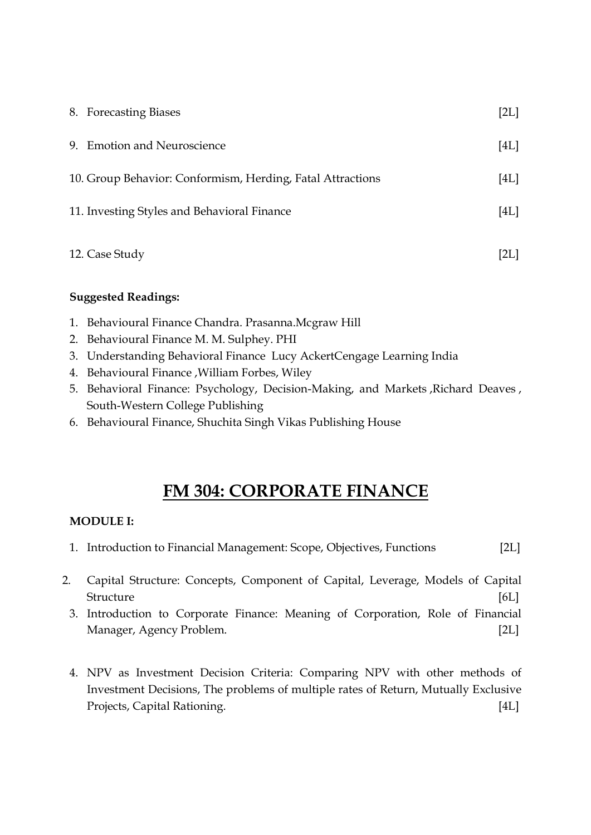| 8. Forecasting Biases                                      | [2L] |
|------------------------------------------------------------|------|
| 9. Emotion and Neuroscience                                | [4L] |
| 10. Group Behavior: Conformism, Herding, Fatal Attractions | [4L] |
| 11. Investing Styles and Behavioral Finance                | [4L] |
| 12. Case Study                                             | [2L] |

- 1. Behavioural Finance Chandra. Prasanna.Mcgraw Hill
- 2. Behavioural Finance M. M. Sulphey. PHI
- 3. Understanding Behavioral Finance Lucy AckertCengage Learning India
- 4. Behavioural Finance ,William Forbes, Wiley
- 5. Behavioral Finance: Psychology, Decision-Making, and Markets ,Richard Deaves , South-Western College Publishing
- 6. Behavioural Finance, Shuchita Singh Vikas Publishing House

# FM 304: CORPORATE FINANCE

# MODULE I:

- 1. Introduction to Financial Management: Scope, Objectives, Functions [2L]
- 2. Capital Structure: Concepts, Component of Capital, Leverage, Models of Capital Structure [6L]
	- 3. Introduction to Corporate Finance: Meaning of Corporation, Role of Financial Manager, Agency Problem. [2L]
	- 4. NPV as Investment Decision Criteria: Comparing NPV with other methods of Investment Decisions, The problems of multiple rates of Return, Mutually Exclusive Projects, Capital Rationing. [4L]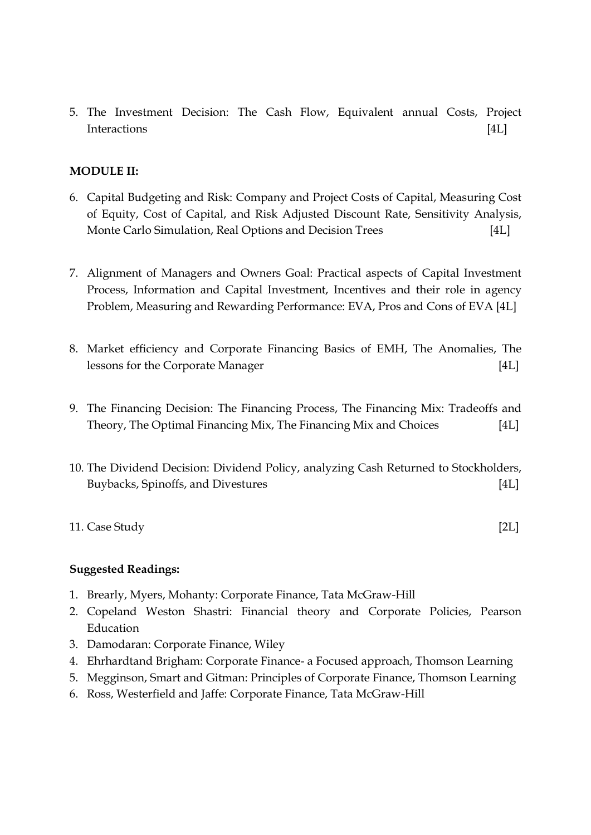5. The Investment Decision: The Cash Flow, Equivalent annual Costs, Project Interactions [4L]

## MODULE II:

- 6. Capital Budgeting and Risk: Company and Project Costs of Capital, Measuring Cost of Equity, Cost of Capital, and Risk Adjusted Discount Rate, Sensitivity Analysis, Monte Carlo Simulation, Real Options and Decision Trees [4L]
- 7. Alignment of Managers and Owners Goal: Practical aspects of Capital Investment Process, Information and Capital Investment, Incentives and their role in agency Problem, Measuring and Rewarding Performance: EVA, Pros and Cons of EVA [4L]
- 8. Market efficiency and Corporate Financing Basics of EMH, The Anomalies, The lessons for the Corporate Manager [4L]
- 9. The Financing Decision: The Financing Process, The Financing Mix: Tradeoffs and Theory, The Optimal Financing Mix, The Financing Mix and Choices [4L]
- 10. The Dividend Decision: Dividend Policy, analyzing Cash Returned to Stockholders, Buybacks, Spinoffs, and Divestures [4L]
- 11. Case Study [2L]

- 1. Brearly, Myers, Mohanty: Corporate Finance, Tata McGraw-Hill
- 2. Copeland Weston Shastri: Financial theory and Corporate Policies, Pearson Education
- 3. Damodaran: Corporate Finance, Wiley
- 4. Ehrhardtand Brigham: Corporate Finance- a Focused approach, Thomson Learning
- 5. Megginson, Smart and Gitman: Principles of Corporate Finance, Thomson Learning
- 6. Ross, Westerfield and Jaffe: Corporate Finance, Tata McGraw-Hill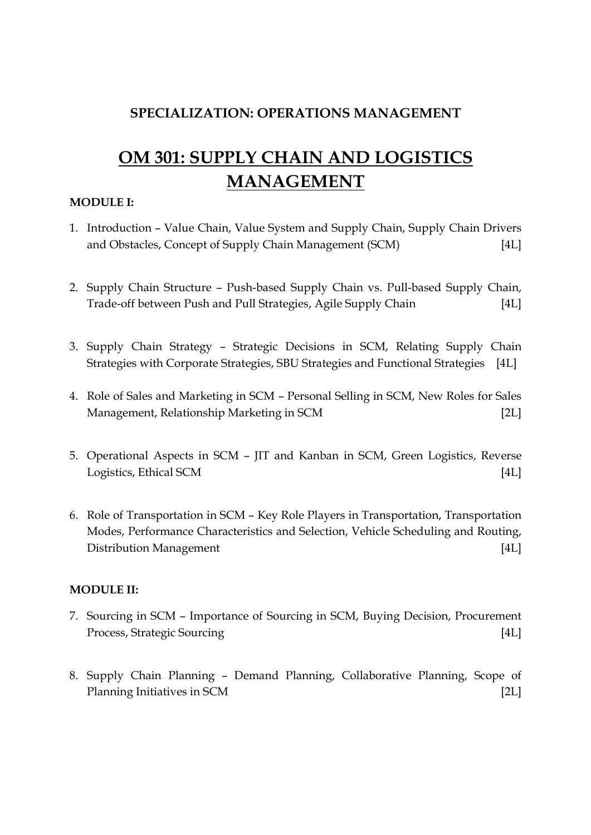# SPECIALIZATION: OPERATIONS MANAGEMENT

# OM 301: SUPPLY CHAIN AND LOGISTICS MANAGEMENT

# MODULE I:

- 1. Introduction Value Chain, Value System and Supply Chain, Supply Chain Drivers and Obstacles, Concept of Supply Chain Management (SCM) [4L]
- 2. Supply Chain Structure Push-based Supply Chain vs. Pull-based Supply Chain, Trade-off between Push and Pull Strategies, Agile Supply Chain [4L]
- 3. Supply Chain Strategy Strategic Decisions in SCM, Relating Supply Chain Strategies with Corporate Strategies, SBU Strategies and Functional Strategies [4L]
- 4. Role of Sales and Marketing in SCM Personal Selling in SCM, New Roles for Sales Management, Relationship Marketing in SCM [2L]
- 5. Operational Aspects in SCM JIT and Kanban in SCM, Green Logistics, Reverse Logistics, Ethical SCM [4L]
- 6. Role of Transportation in SCM Key Role Players in Transportation, Transportation Modes, Performance Characteristics and Selection, Vehicle Scheduling and Routing, Distribution Management [4L]

## MODULE II:

- 7. Sourcing in SCM Importance of Sourcing in SCM, Buying Decision, Procurement Process, Strategic Sourcing [4L]
- 8. Supply Chain Planning Demand Planning, Collaborative Planning, Scope of Planning Initiatives in SCM [2L]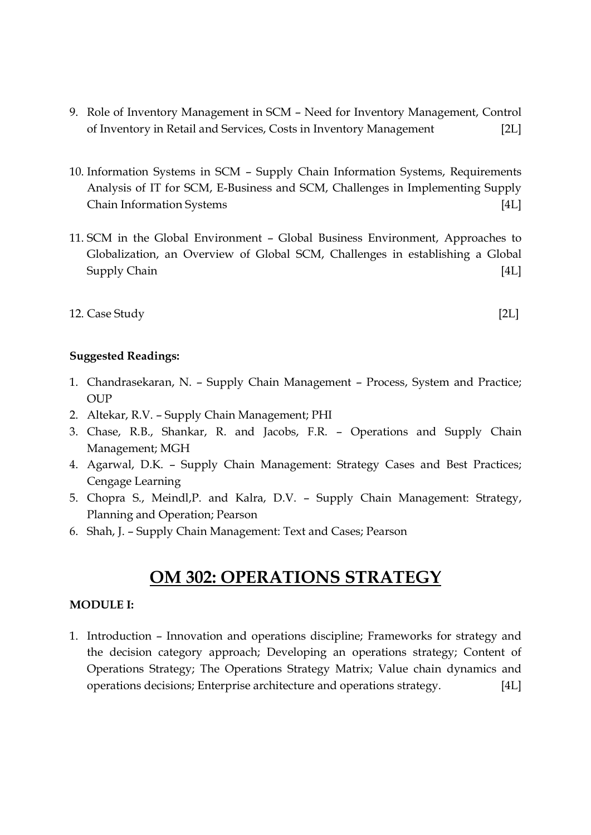- 9. Role of Inventory Management in SCM Need for Inventory Management, Control of Inventory in Retail and Services, Costs in Inventory Management [2L]
- 10. Information Systems in SCM Supply Chain Information Systems, Requirements Analysis of IT for SCM, E-Business and SCM, Challenges in Implementing Supply Chain Information Systems [4L]
- 11. SCM in the Global Environment Global Business Environment, Approaches to Globalization, an Overview of Global SCM, Challenges in establishing a Global Supply Chain [4L]

# 12. Case Study [2L]

## Suggested Readings:

- 1. Chandrasekaran, N. Supply Chain Management Process, System and Practice;  $OUP$
- 2. Altekar, R.V. Supply Chain Management; PHI
- 3. Chase, R.B., Shankar, R. and Jacobs, F.R. Operations and Supply Chain Management; MGH
- 4. Agarwal, D.K. Supply Chain Management: Strategy Cases and Best Practices; Cengage Learning
- 5. Chopra S., Meindl,P. and Kalra, D.V. Supply Chain Management: Strategy, Planning and Operation; Pearson
- 6. Shah, J. Supply Chain Management: Text and Cases; Pearson

# OM 302: OPERATIONS STRATEGY

## MODULE I:

1. Introduction – Innovation and operations discipline; Frameworks for strategy and the decision category approach; Developing an operations strategy; Content of Operations Strategy; The Operations Strategy Matrix; Value chain dynamics and operations decisions; Enterprise architecture and operations strategy. [4L]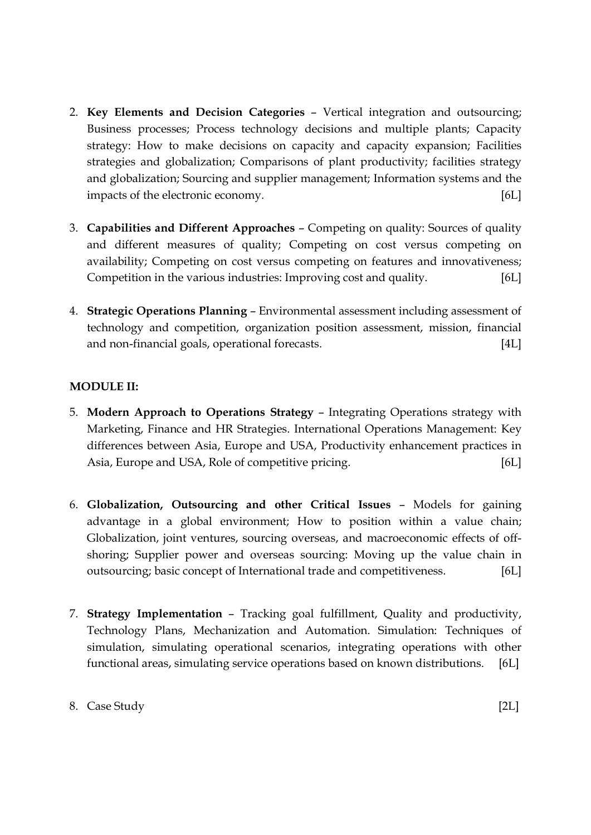- 2. Key Elements and Decision Categories Vertical integration and outsourcing; Business processes; Process technology decisions and multiple plants; Capacity strategy: How to make decisions on capacity and capacity expansion; Facilities strategies and globalization; Comparisons of plant productivity; facilities strategy and globalization; Sourcing and supplier management; Information systems and the impacts of the electronic economy. [6L]
- 3. Capabilities and Different Approaches Competing on quality: Sources of quality and different measures of quality; Competing on cost versus competing on availability; Competing on cost versus competing on features and innovativeness; Competition in the various industries: Improving cost and quality. [6L]
- 4. Strategic Operations Planning Environmental assessment including assessment of technology and competition, organization position assessment, mission, financial and non-financial goals, operational forecasts. [4L]

# MODULE II:

- 5. Modern Approach to Operations Strategy Integrating Operations strategy with Marketing, Finance and HR Strategies. International Operations Management: Key differences between Asia, Europe and USA, Productivity enhancement practices in Asia, Europe and USA, Role of competitive pricing. [6L]
- 6. Globalization, Outsourcing and other Critical Issues Models for gaining advantage in a global environment; How to position within a value chain; Globalization, joint ventures, sourcing overseas, and macroeconomic effects of offshoring; Supplier power and overseas sourcing: Moving up the value chain in outsourcing; basic concept of International trade and competitiveness. [6L]
- 7. Strategy Implementation Tracking goal fulfillment, Quality and productivity, Technology Plans, Mechanization and Automation. Simulation: Techniques of simulation, simulating operational scenarios, integrating operations with other functional areas, simulating service operations based on known distributions. [6L]

## 8. Case Study [2L]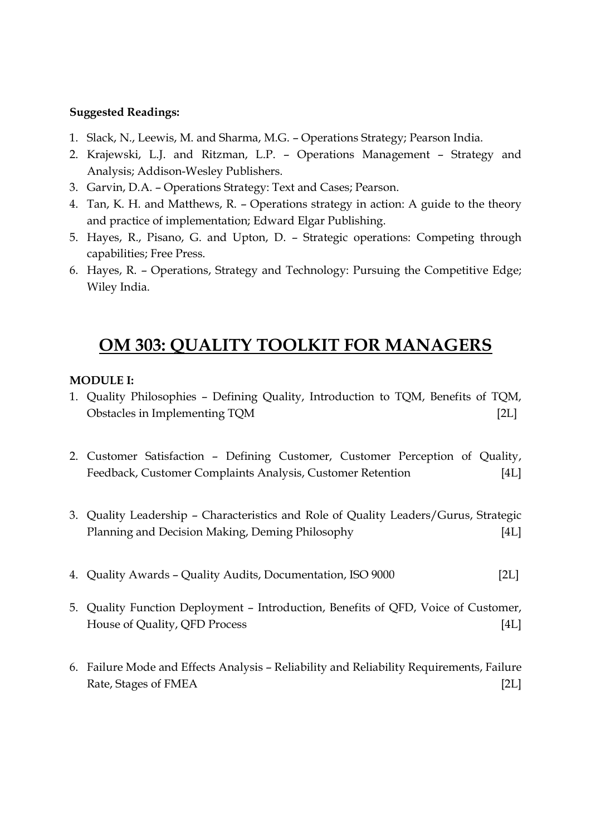- 1. Slack, N., Leewis, M. and Sharma, M.G. Operations Strategy; Pearson India.
- 2. Krajewski, L.J. and Ritzman, L.P. Operations Management Strategy and Analysis; Addison-Wesley Publishers.
- 3. Garvin, D.A. Operations Strategy: Text and Cases; Pearson.
- 4. Tan, K. H. and Matthews, R. Operations strategy in action: A guide to the theory and practice of implementation; Edward Elgar Publishing.
- 5. Hayes, R., Pisano, G. and Upton, D. Strategic operations: Competing through capabilities; Free Press.
- 6. Hayes, R. Operations, Strategy and Technology: Pursuing the Competitive Edge; Wiley India.

# OM 303: QUALITY TOOLKIT FOR MANAGERS

### MODULE I:

- 1. Quality Philosophies Defining Quality, Introduction to TQM, Benefits of TQM, Obstacles in Implementing TQM [2L]
- 2. Customer Satisfaction Defining Customer, Customer Perception of Quality, Feedback, Customer Complaints Analysis, Customer Retention [4L]
- 3. Quality Leadership Characteristics and Role of Quality Leaders/Gurus, Strategic Planning and Decision Making, Deming Philosophy [4L]
- 4. Quality Awards Quality Audits, Documentation, ISO 9000 [2L]
- 5. Quality Function Deployment Introduction, Benefits of QFD, Voice of Customer, House of Quality, QFD Process [4L]
- 6. Failure Mode and Effects Analysis Reliability and Reliability Requirements, Failure Rate, Stages of FMEA [2L]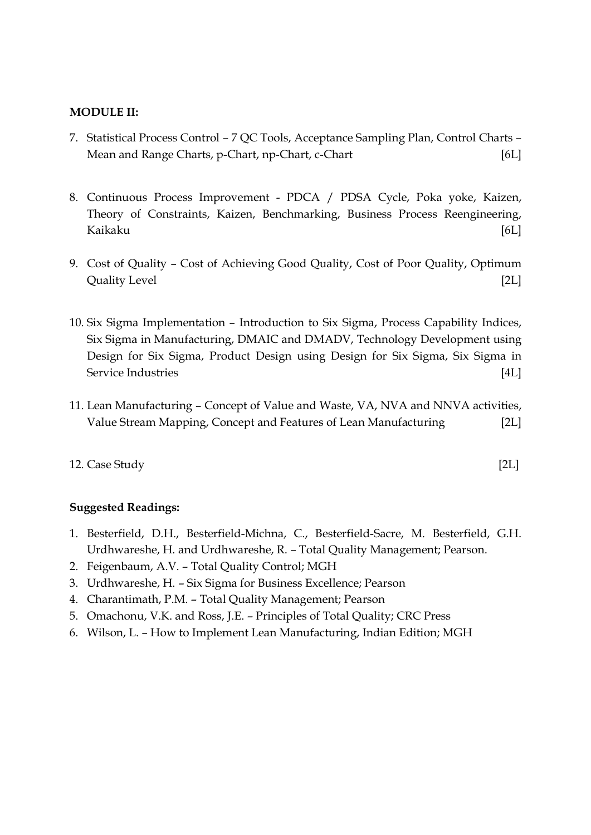### MODULE II:

- 7. Statistical Process Control 7 QC Tools, Acceptance Sampling Plan, Control Charts Mean and Range Charts, p-Chart, np-Chart, c-Chart [6L]
- 8. Continuous Process Improvement PDCA / PDSA Cycle, Poka yoke, Kaizen, Theory of Constraints, Kaizen, Benchmarking, Business Process Reengineering, Kaikaku [6L]
- 9. Cost of Quality Cost of Achieving Good Quality, Cost of Poor Quality, Optimum Quality Level [2L]
- 10. Six Sigma Implementation Introduction to Six Sigma, Process Capability Indices, Six Sigma in Manufacturing, DMAIC and DMADV, Technology Development using Design for Six Sigma, Product Design using Design for Six Sigma, Six Sigma in Service Industries [4L]
- 11. Lean Manufacturing Concept of Value and Waste, VA, NVA and NNVA activities, Value Stream Mapping, Concept and Features of Lean Manufacturing [2L]

### 12. Case Study [2L]

- 1. Besterfield, D.H., Besterfield-Michna, C., Besterfield-Sacre, M. Besterfield, G.H. Urdhwareshe, H. and Urdhwareshe, R. – Total Quality Management; Pearson.
- 2. Feigenbaum, A.V. Total Quality Control; MGH
- 3. Urdhwareshe, H. Six Sigma for Business Excellence; Pearson
- 4. Charantimath, P.M. Total Quality Management; Pearson
- 5. Omachonu, V.K. and Ross, J.E. Principles of Total Quality; CRC Press
- 6. Wilson, L. How to Implement Lean Manufacturing, Indian Edition; MGH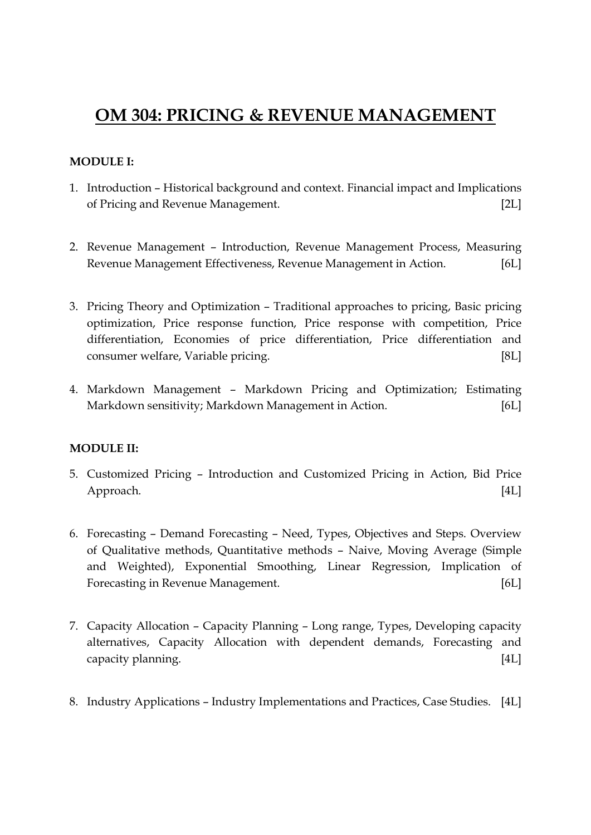# OM 304: PRICING & REVENUE MANAGEMENT

# MODULE I:

- 1. Introduction Historical background and context. Financial impact and Implications of Pricing and Revenue Management. [2L]
- 2. Revenue Management Introduction, Revenue Management Process, Measuring Revenue Management Effectiveness, Revenue Management in Action. [6L]
- 3. Pricing Theory and Optimization Traditional approaches to pricing, Basic pricing optimization, Price response function, Price response with competition, Price differentiation, Economies of price differentiation, Price differentiation and consumer welfare, Variable pricing. [8L]
- 4. Markdown Management Markdown Pricing and Optimization; Estimating Markdown sensitivity; Markdown Management in Action. [6L]

# MODULE II:

- 5. Customized Pricing Introduction and Customized Pricing in Action, Bid Price Approach. [4L]
- 6. Forecasting Demand Forecasting Need, Types, Objectives and Steps. Overview of Qualitative methods, Quantitative methods – Naive, Moving Average (Simple and Weighted), Exponential Smoothing, Linear Regression, Implication of Forecasting in Revenue Management. [6L]
- 7. Capacity Allocation Capacity Planning Long range, Types, Developing capacity alternatives, Capacity Allocation with dependent demands, Forecasting and capacity planning. [4L]
- 8. Industry Applications Industry Implementations and Practices, Case Studies. [4L]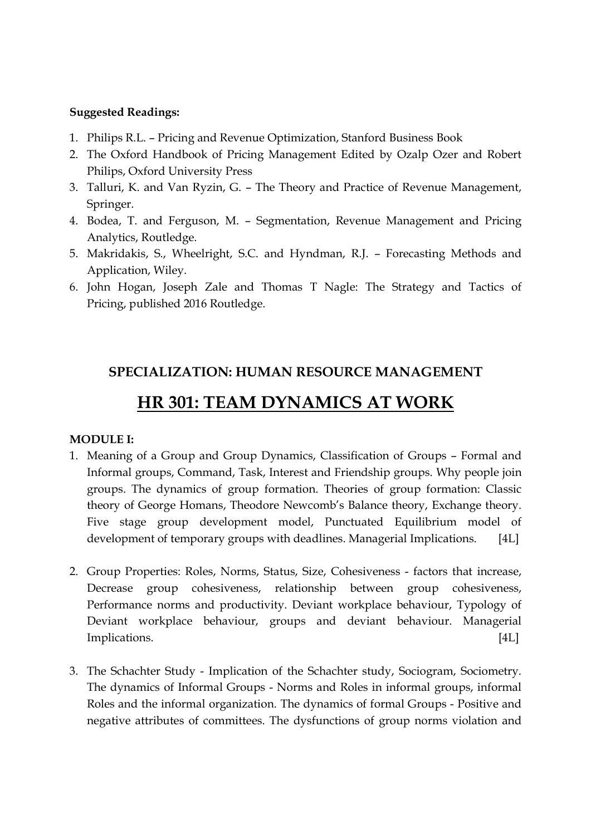- 1. Philips R.L. Pricing and Revenue Optimization, Stanford Business Book
- 2. The Oxford Handbook of Pricing Management Edited by Ozalp Ozer and Robert Philips, Oxford University Press
- 3. Talluri, K. and Van Ryzin, G. The Theory and Practice of Revenue Management, Springer.
- 4. Bodea, T. and Ferguson, M. Segmentation, Revenue Management and Pricing Analytics, Routledge.
- 5. Makridakis, S., Wheelright, S.C. and Hyndman, R.J. Forecasting Methods and Application, Wiley.
- 6. John Hogan, Joseph Zale and Thomas T Nagle: The Strategy and Tactics of Pricing, published 2016 Routledge.

# SPECIALIZATION: HUMAN RESOURCE MANAGEMENT

# HR 301: TEAM DYNAMICS AT WORK

## MODULE I:

- 1. Meaning of a Group and Group Dynamics, Classification of Groups Formal and Informal groups, Command, Task, Interest and Friendship groups. Why people join groups. The dynamics of group formation. Theories of group formation: Classic theory of George Homans, Theodore Newcomb's Balance theory, Exchange theory. Five stage group development model, Punctuated Equilibrium model of development of temporary groups with deadlines. Managerial Implications. [4L]
- 2. Group Properties: Roles, Norms, Status, Size, Cohesiveness factors that increase, Decrease group cohesiveness, relationship between group cohesiveness, Performance norms and productivity. Deviant workplace behaviour, Typology of Deviant workplace behaviour, groups and deviant behaviour. Managerial Implications. [4L]
- 3. The Schachter Study Implication of the Schachter study, Sociogram, Sociometry. The dynamics of Informal Groups - Norms and Roles in informal groups, informal Roles and the informal organization. The dynamics of formal Groups - Positive and negative attributes of committees. The dysfunctions of group norms violation and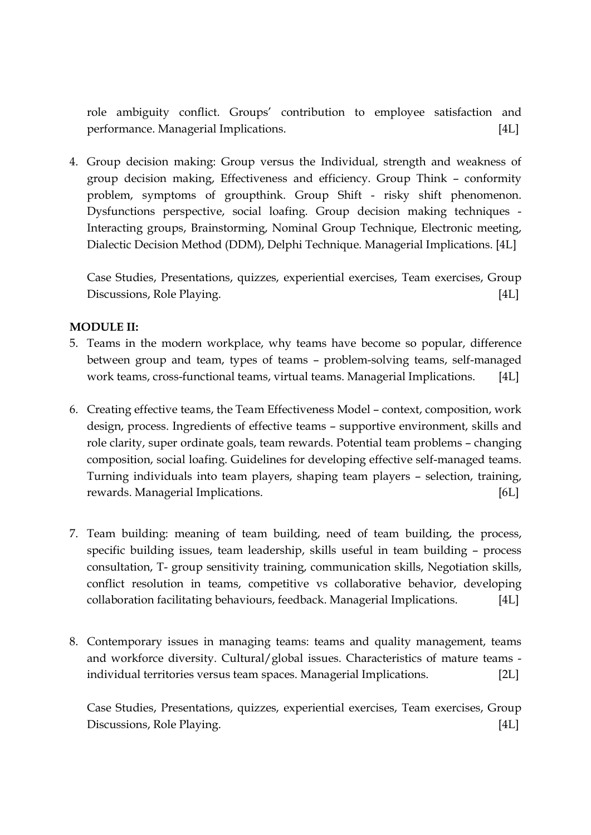role ambiguity conflict. Groups' contribution to employee satisfaction and performance. Managerial Implications. [4L]

4. Group decision making: Group versus the Individual, strength and weakness of group decision making, Effectiveness and efficiency. Group Think – conformity problem, symptoms of groupthink. Group Shift - risky shift phenomenon. Dysfunctions perspective, social loafing. Group decision making techniques - Interacting groups, Brainstorming, Nominal Group Technique, Electronic meeting, Dialectic Decision Method (DDM), Delphi Technique. Managerial Implications. [4L]

Case Studies, Presentations, quizzes, experiential exercises, Team exercises, Group Discussions, Role Playing. [4L]

# MODULE II:

- 5. Teams in the modern workplace, why teams have become so popular, difference between group and team, types of teams – problem-solving teams, self-managed work teams, cross-functional teams, virtual teams. Managerial Implications. [4L]
- 6. Creating effective teams, the Team Effectiveness Model context, composition, work design, process. Ingredients of effective teams – supportive environment, skills and role clarity, super ordinate goals, team rewards. Potential team problems – changing composition, social loafing. Guidelines for developing effective self-managed teams. Turning individuals into team players, shaping team players – selection, training, rewards. Managerial Implications. [6L]
- 7. Team building: meaning of team building, need of team building, the process, specific building issues, team leadership, skills useful in team building – process consultation, T- group sensitivity training, communication skills, Negotiation skills, conflict resolution in teams, competitive vs collaborative behavior, developing collaboration facilitating behaviours, feedback. Managerial Implications. [4L]
- 8. Contemporary issues in managing teams: teams and quality management, teams and workforce diversity. Cultural/global issues. Characteristics of mature teams individual territories versus team spaces. Managerial Implications. [2L]

Case Studies, Presentations, quizzes, experiential exercises, Team exercises, Group Discussions, Role Playing. [4L]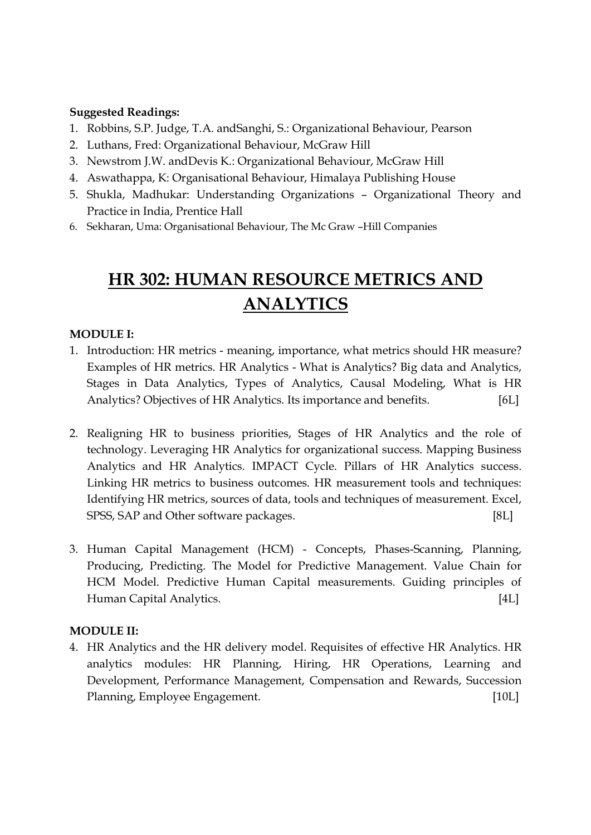- 1. Robbins, S.P. Judge, T.A. andSanghi, S.: Organizational Behaviour, Pearson
- 2. Luthans, Fred: Organizational Behaviour, McGraw Hill
- 3. Newstrom J.W. andDevis K.: Organizational Behaviour, McGraw Hill
- 4. Aswathappa, K: Organisational Behaviour, Himalaya Publishing House
- 5. Shukla, Madhukar: Understanding Organizations Organizational Theory and Practice in India, Prentice Hall
- 6. Sekharan, Uma: Organisational Behaviour, The Mc Graw –Hill Companies

# HR 302: HUMAN RESOURCE METRICS AND ANALYTICS

## MODULE I:

- 1. Introduction: HR metrics meaning, importance, what metrics should HR measure? Examples of HR metrics. HR Analytics - What is Analytics? Big data and Analytics, Stages in Data Analytics, Types of Analytics, Causal Modeling, What is HR Analytics? Objectives of HR Analytics. Its importance and benefits. [6L]
- 2. Realigning HR to business priorities, Stages of HR Analytics and the role of technology. Leveraging HR Analytics for organizational success. Mapping Business Analytics and HR Analytics. IMPACT Cycle. Pillars of HR Analytics success. Linking HR metrics to business outcomes. HR measurement tools and techniques: Identifying HR metrics, sources of data, tools and techniques of measurement. Excel, SPSS, SAP and Other software packages. [8L]
- 3. Human Capital Management (HCM) Concepts, Phases-Scanning, Planning, Producing, Predicting. The Model for Predictive Management. Value Chain for HCM Model. Predictive Human Capital measurements. Guiding principles of Human Capital Analytics. [4L]

## MODULE II:

4. HR Analytics and the HR delivery model. Requisites of effective HR Analytics. HR analytics modules: HR Planning, Hiring, HR Operations, Learning and Development, Performance Management, Compensation and Rewards, Succession Planning, Employee Engagement. [10L]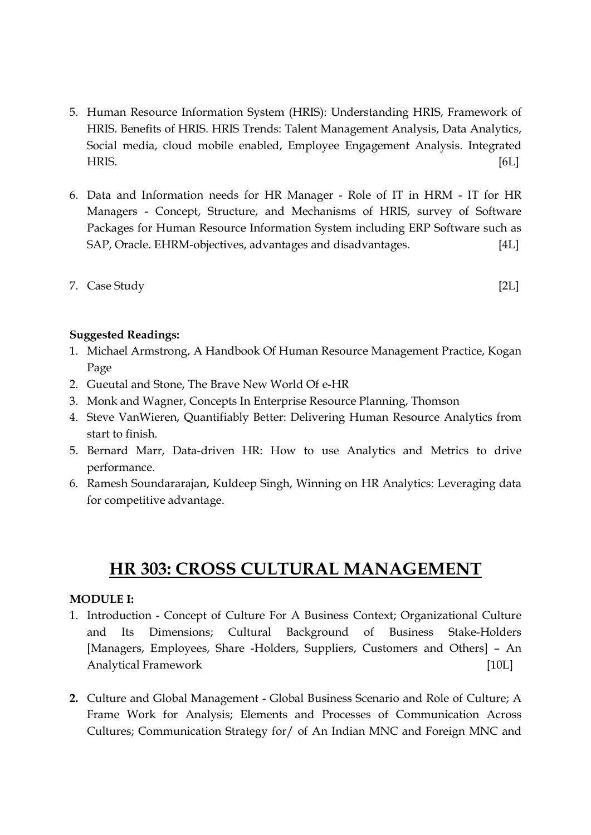- 5. Human Resource Information System (HRIS): Understanding HRIS, Framework of HRIS. Benefits of HRIS. HRIS Trends: Talent Management Analysis, Data Analytics, Social media, cloud mobile enabled, Employee Engagement Analysis. Integrated HRIS. [6L]
- 6. Data and Information needs for HR Manager Role of IT in HRM IT for HR Managers - Concept, Structure, and Mechanisms of HRIS, survey of Software Packages for Human Resource Information System including ERP Software such as SAP, Oracle. EHRM-objectives, advantages and disadvantages. [4L]
- 7. Case Study [2L]

- 1. Michael Armstrong, A Handbook Of Human Resource Management Practice, Kogan Page
- 2. Gueutal and Stone, The Brave New World Of e-HR
- 3. Monk and Wagner, Concepts In Enterprise Resource Planning, Thomson
- 4. Steve VanWieren, Quantifiably Better: Delivering Human Resource Analytics from start to finish.
- 5. Bernard Marr, Data-driven HR: How to use Analytics and Metrics to drive performance.
- 6. Ramesh Soundararajan, Kuldeep Singh, Winning on HR Analytics: Leveraging data for competitive advantage.

# HR 303: CROSS CULTURAL MANAGEMENT

## MODULE I:

- 1. Introduction Concept of Culture For A Business Context; Organizational Culture and Its Dimensions; Cultural Background of Business Stake-Holders [Managers, Employees, Share -Holders, Suppliers, Customers and Others] – An Analytical Framework [10L]
- 2. Culture and Global Management Global Business Scenario and Role of Culture; A Frame Work for Analysis; Elements and Processes of Communication Across Cultures; Communication Strategy for/ of An Indian MNC and Foreign MNC and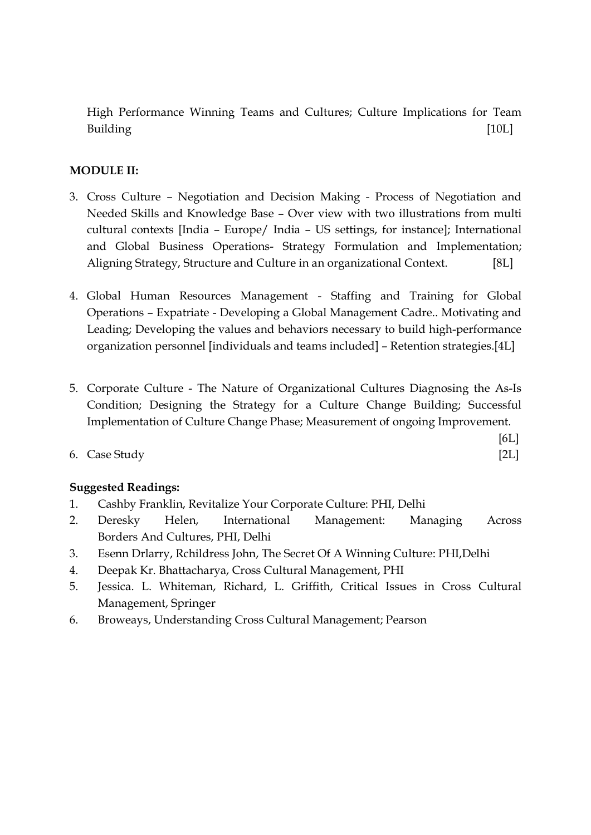High Performance Winning Teams and Cultures; Culture Implications for Team Building [10L]

# MODULE II:

- 3. Cross Culture Negotiation and Decision Making Process of Negotiation and Needed Skills and Knowledge Base – Over view with two illustrations from multi cultural contexts [India – Europe/ India – US settings, for instance]; International and Global Business Operations- Strategy Formulation and Implementation; Aligning Strategy, Structure and Culture in an organizational Context. [8L]
- 4. Global Human Resources Management Staffing and Training for Global Operations – Expatriate - Developing a Global Management Cadre.. Motivating and Leading; Developing the values and behaviors necessary to build high-performance organization personnel [individuals and teams included] – Retention strategies.[4L]
- 5. Corporate Culture The Nature of Organizational Cultures Diagnosing the As-Is Condition; Designing the Strategy for a Culture Change Building; Successful Implementation of Culture Change Phase; Measurement of ongoing Improvement.

[6L]

6. Case Study [2L]

- 1. Cashby Franklin, Revitalize Your Corporate Culture: PHI, Delhi
- 2. Deresky Helen, International Management: Managing Across Borders And Cultures, PHI, Delhi
- 3. Esenn Drlarry, Rchildress John, The Secret Of A Winning Culture: PHI,Delhi
- 4. Deepak Kr. Bhattacharya, Cross Cultural Management, PHI
- 5. Jessica. L. Whiteman, Richard, L. Griffith, Critical Issues in Cross Cultural Management, Springer
- 6. Broweays, Understanding Cross Cultural Management; Pearson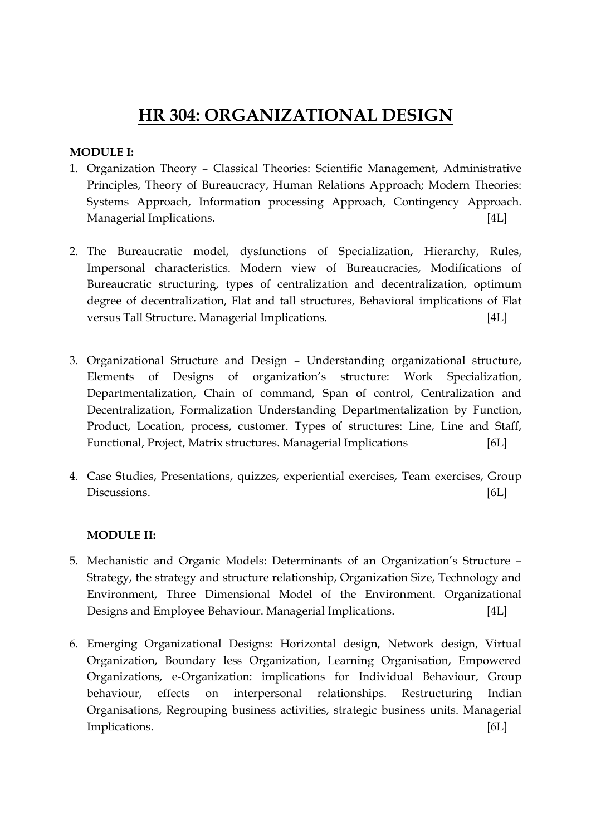# HR 304: ORGANIZATIONAL DESIGN

## MODULE I:

- 1. Organization Theory Classical Theories: Scientific Management, Administrative Principles, Theory of Bureaucracy, Human Relations Approach; Modern Theories: Systems Approach, Information processing Approach, Contingency Approach. Managerial Implications. [4L]
- 2. The Bureaucratic model, dysfunctions of Specialization, Hierarchy, Rules, Impersonal characteristics. Modern view of Bureaucracies, Modifications of Bureaucratic structuring, types of centralization and decentralization, optimum degree of decentralization, Flat and tall structures, Behavioral implications of Flat versus Tall Structure. Managerial Implications. [4L]
- 3. Organizational Structure and Design Understanding organizational structure, Elements of Designs of organization's structure: Work Specialization, Departmentalization, Chain of command, Span of control, Centralization and Decentralization, Formalization Understanding Departmentalization by Function, Product, Location, process, customer. Types of structures: Line, Line and Staff, Functional, Project, Matrix structures. Managerial Implications [6L]
- 4. Case Studies, Presentations, quizzes, experiential exercises, Team exercises, Group Discussions. [6L]

## MODULE II:

- 5. Mechanistic and Organic Models: Determinants of an Organization's Structure Strategy, the strategy and structure relationship, Organization Size, Technology and Environment, Three Dimensional Model of the Environment. Organizational Designs and Employee Behaviour. Managerial Implications. [4L]
- 6. Emerging Organizational Designs: Horizontal design, Network design, Virtual Organization, Boundary less Organization, Learning Organisation, Empowered Organizations, e-Organization: implications for Individual Behaviour, Group behaviour, effects on interpersonal relationships. Restructuring Indian Organisations, Regrouping business activities, strategic business units. Managerial Implications. [6L]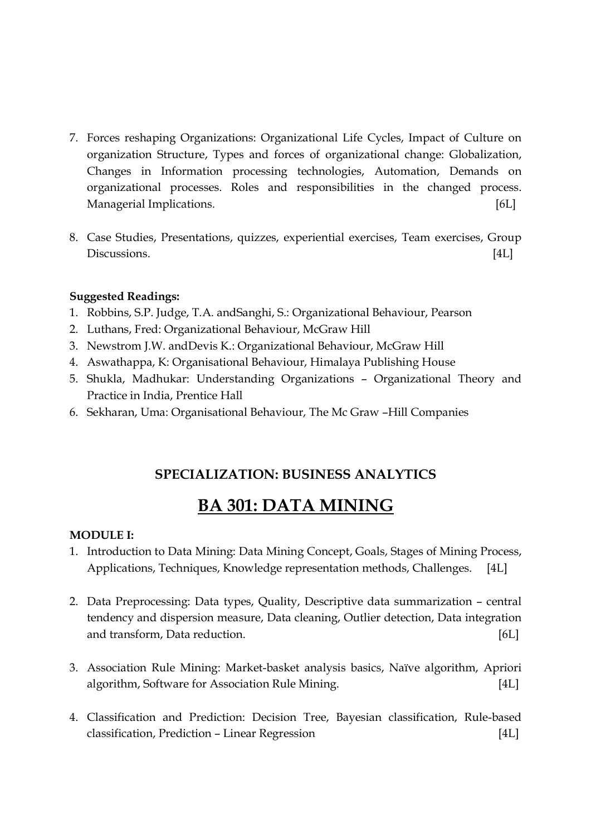- 7. Forces reshaping Organizations: Organizational Life Cycles, Impact of Culture on organization Structure, Types and forces of organizational change: Globalization, Changes in Information processing technologies, Automation, Demands on organizational processes. Roles and responsibilities in the changed process. Managerial Implications. [6L]
- 8. Case Studies, Presentations, quizzes, experiential exercises, Team exercises, Group Discussions. [4L]

- 1. Robbins, S.P. Judge, T.A. andSanghi, S.: Organizational Behaviour, Pearson
- 2. Luthans, Fred: Organizational Behaviour, McGraw Hill
- 3. Newstrom J.W. andDevis K.: Organizational Behaviour, McGraw Hill
- 4. Aswathappa, K: Organisational Behaviour, Himalaya Publishing House
- 5. Shukla, Madhukar: Understanding Organizations Organizational Theory and Practice in India, Prentice Hall
- 6. Sekharan, Uma: Organisational Behaviour, The Mc Graw –Hill Companies

# SPECIALIZATION: BUSINESS ANALYTICS

# BA 301: DATA MINING

## MODULE I:

- 1. Introduction to Data Mining: Data Mining Concept, Goals, Stages of Mining Process, Applications, Techniques, Knowledge representation methods, Challenges. [4L]
- 2. Data Preprocessing: Data types, Quality, Descriptive data summarization central tendency and dispersion measure, Data cleaning, Outlier detection, Data integration and transform, Data reduction. [6L]
- 3. Association Rule Mining: Market-basket analysis basics, Naïve algorithm, Apriori algorithm, Software for Association Rule Mining. [4L]
- 4. Classification and Prediction: Decision Tree, Bayesian classification, Rule-based classification, Prediction – Linear Regression [4L]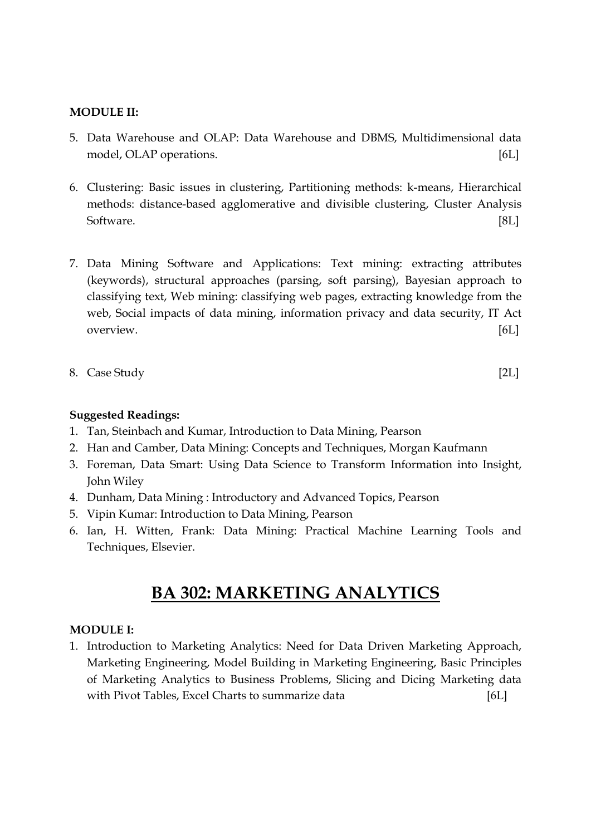### MODULE II:

- 5. Data Warehouse and OLAP: Data Warehouse and DBMS, Multidimensional data model, OLAP operations. [6L]
- 6. Clustering: Basic issues in clustering, Partitioning methods: k-means, Hierarchical methods: distance-based agglomerative and divisible clustering, Cluster Analysis Software. [8L]
- 7. Data Mining Software and Applications: Text mining: extracting attributes (keywords), structural approaches (parsing, soft parsing), Bayesian approach to classifying text, Web mining: classifying web pages, extracting knowledge from the web, Social impacts of data mining, information privacy and data security, IT Act overview. [6L]
- 8. Case Study [2L]

## Suggested Readings:

- 1. Tan, Steinbach and Kumar, Introduction to Data Mining, Pearson
- 2. Han and Camber, Data Mining: Concepts and Techniques, Morgan Kaufmann
- 3. Foreman, Data Smart: Using Data Science to Transform Information into Insight, John Wiley
- 4. Dunham, Data Mining : Introductory and Advanced Topics, Pearson
- 5. Vipin Kumar: Introduction to Data Mining, Pearson
- 6. Ian, H. Witten, Frank: Data Mining: Practical Machine Learning Tools and Techniques, Elsevier.

# BA 302: MARKETING ANALYTICS

### MODULE I:

1. Introduction to Marketing Analytics: Need for Data Driven Marketing Approach, Marketing Engineering, Model Building in Marketing Engineering, Basic Principles of Marketing Analytics to Business Problems, Slicing and Dicing Marketing data with Pivot Tables, Excel Charts to summarize data [6L]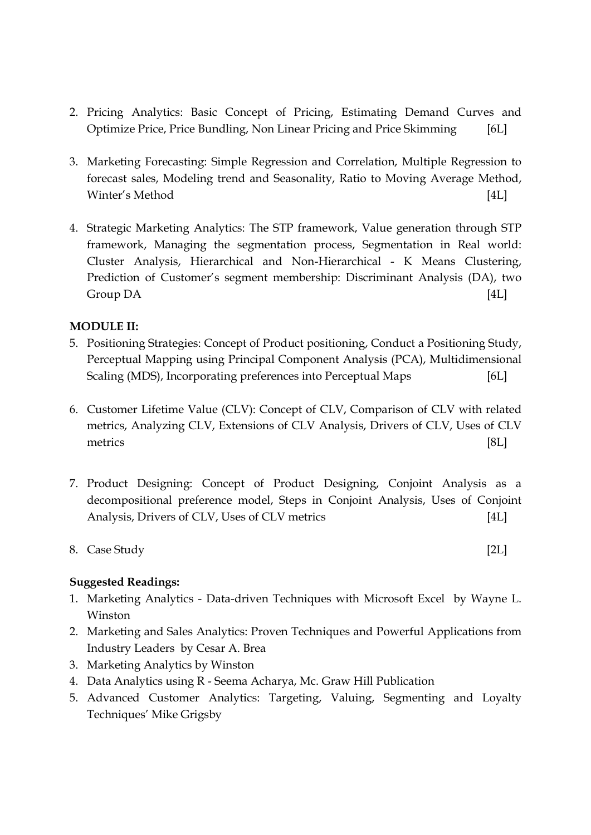- 2. Pricing Analytics: Basic Concept of Pricing, Estimating Demand Curves and Optimize Price, Price Bundling, Non Linear Pricing and Price Skimming [6L]
- 3. Marketing Forecasting: Simple Regression and Correlation, Multiple Regression to forecast sales, Modeling trend and Seasonality, Ratio to Moving Average Method, Winter's Method [4L]
- 4. Strategic Marketing Analytics: The STP framework, Value generation through STP framework, Managing the segmentation process, Segmentation in Real world: Cluster Analysis, Hierarchical and Non-Hierarchical - K Means Clustering, Prediction of Customer's segment membership: Discriminant Analysis (DA), two Group DA [4L]

## MODULE II:

- 5. Positioning Strategies: Concept of Product positioning, Conduct a Positioning Study, Perceptual Mapping using Principal Component Analysis (PCA), Multidimensional Scaling (MDS), Incorporating preferences into Perceptual Maps [6L]
- 6. Customer Lifetime Value (CLV): Concept of CLV, Comparison of CLV with related metrics, Analyzing CLV, Extensions of CLV Analysis, Drivers of CLV, Uses of CLV metrics [8L]
- 7. Product Designing: Concept of Product Designing, Conjoint Analysis as a decompositional preference model, Steps in Conjoint Analysis, Uses of Conjoint Analysis, Drivers of CLV, Uses of CLV metrics [4L]
- 8. Case Study [2L]

- 1. Marketing Analytics Data-driven Techniques with Microsoft Excel by Wayne L. Winston
- 2. Marketing and Sales Analytics: Proven Techniques and Powerful Applications from Industry Leaders by Cesar A. Brea
- 3. Marketing Analytics by Winston
- 4. Data Analytics using R Seema Acharya, Mc. Graw Hill Publication
- 5. Advanced Customer Analytics: Targeting, Valuing, Segmenting and Loyalty Techniques' Mike Grigsby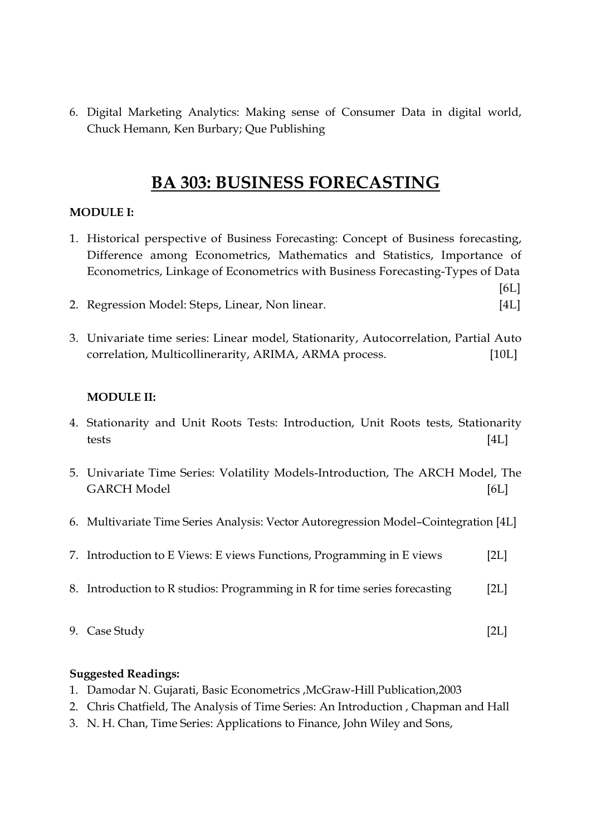6. Digital Marketing Analytics: Making sense of Consumer Data in digital world, Chuck Hemann, Ken Burbary; Que Publishing

# BA 303: BUSINESS FORECASTING

# MODULE I:

1. Historical perspective of Business Forecasting: Concept of Business forecasting, Difference among Econometrics, Mathematics and Statistics, Importance of Econometrics, Linkage of Econometrics with Business Forecasting-Types of Data

[6L]

- 2. Regression Model: Steps, Linear, Non linear. [4L]
- 3. Univariate time series: Linear model, Stationarity, Autocorrelation, Partial Auto correlation, Multicollinerarity, ARIMA, ARMA process. [10L]

# MODULE II:

- 4. Stationarity and Unit Roots Tests: Introduction, Unit Roots tests, Stationarity tests [4L]
- 5. Univariate Time Series: Volatility Models-Introduction, The ARCH Model, The GARCH Model [6L]
- 6. Multivariate Time Series Analysis: Vector Autoregression Model–Cointegration [4L]
- 7. Introduction to E Views: E views Functions, Programming in E views [2L]
- 8. Introduction to R studios: Programming in R for time series forecasting [2L]
- 9. Case Study [2L]
	-

- 1. Damodar N. Gujarati, Basic Econometrics ,McGraw-Hill Publication,2003
- 2. Chris Chatfield, The Analysis of Time Series: An Introduction , Chapman and Hall
- 3. N. H. Chan, Time Series: Applications to Finance, John Wiley and Sons,